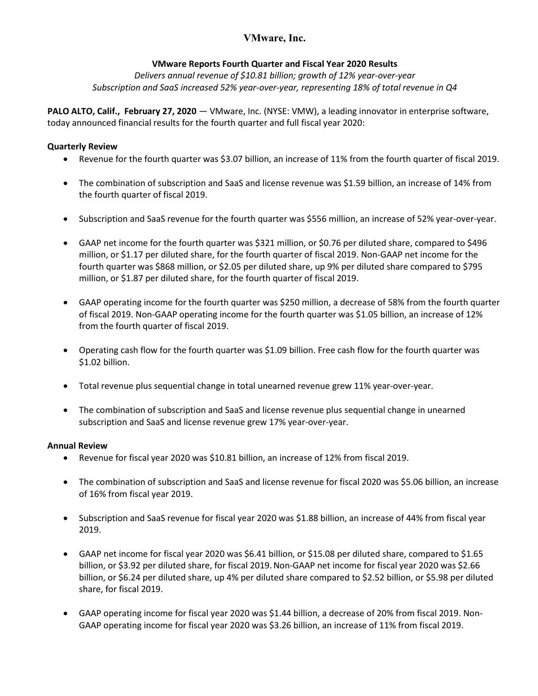# **VMware Reports Fourth Quarter and Fiscal Year 2020 Results**

*Delivers annual revenue of \$10.81 billion; growth of 12% year-over-year Subscription and SaaS increased 52% year-over-year, representing 18% of total revenue in Q4*

**PALO ALTO, Calif., February 27, 2020** — VMware, Inc. (NYSE: VMW), a leading innovator in enterprise software, today announced financial results for the fourth quarter and full fiscal year 2020:

# **Quarterly Review**

- Revenue for the fourth quarter was \$3.07 billion, an increase of 11% from the fourth quarter of fiscal 2019.
- The combination of subscription and SaaS and license revenue was \$1.59 billion, an increase of 14% from the fourth quarter of fiscal 2019.
- Subscription and SaaS revenue for the fourth quarter was \$556 million, an increase of 52% year-over-year.
- GAAP net income for the fourth quarter was \$321 million, or \$0.76 per diluted share, compared to \$496 million, or \$1.17 per diluted share, for the fourth quarter of fiscal 2019. Non-GAAP net income for the fourth quarter was \$868 million, or \$2.05 per diluted share, up 9% per diluted share compared to \$795 million, or \$1.87 per diluted share, for the fourth quarter of fiscal 2019.
- GAAP operating income for the fourth quarter was \$250 million, a decrease of 58% from the fourth quarter of fiscal 2019. Non-GAAP operating income for the fourth quarter was \$1.05 billion, an increase of 12% from the fourth quarter of fiscal 2019.
- Operating cash flow for the fourth quarter was \$1.09 billion. Free cash flow for the fourth quarter was \$1.02 billion.
- Total revenue plus sequential change in total unearned revenue grew 11% year-over-year.
- The combination of subscription and SaaS and license revenue plus sequential change in unearned subscription and SaaS and license revenue grew 17% year-over-year.

# **Annual Review**

- Revenue for fiscal year 2020 was \$10.81 billion, an increase of 12% from fiscal 2019.
- The combination of subscription and SaaS and license revenue for fiscal 2020 was \$5.06 billion, an increase of 16% from fiscal year 2019.
- Subscription and SaaS revenue for fiscal year 2020 was \$1.88 billion, an increase of 44% from fiscal year 2019.
- GAAP net income for fiscal year 2020 was \$6.41 billion, or \$15.08 per diluted share, compared to \$1.65 billion, or \$3.92 per diluted share, for fiscal 2019.Non-GAAP net income for fiscal year 2020 was \$2.66 billion, or \$6.24 per diluted share, up 4% per diluted share compared to \$2.52 billion, or \$5.98 per diluted share, for fiscal 2019.
- GAAP operating income for fiscal year 2020 was \$1.44 billion, a decrease of 20% from fiscal 2019. Non-GAAP operating income for fiscal year 2020 was \$3.26 billion, an increase of 11% from fiscal 2019.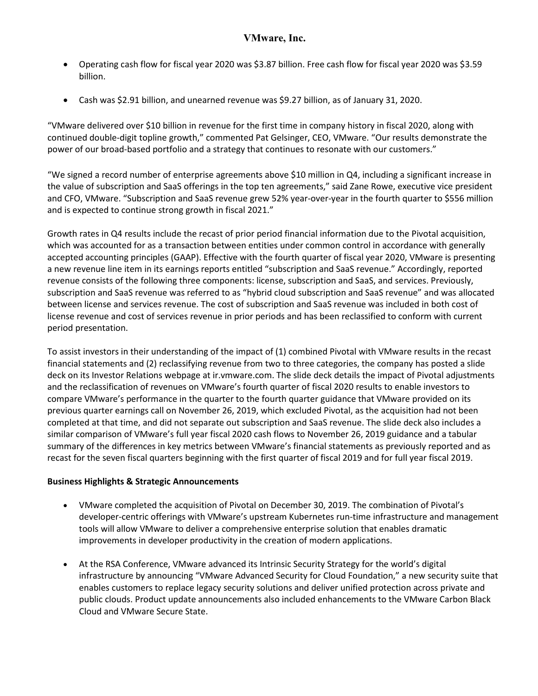- Operating cash flow for fiscal year 2020 was \$3.87 billion. Free cash flow for fiscal year 2020 was \$3.59 billion.
- Cash was \$2.91 billion, and unearned revenue was \$9.27 billion, as of January 31, 2020.

"VMware delivered over \$10 billion in revenue for the first time in company history in fiscal 2020, along with continued double-digit topline growth," commented Pat Gelsinger, CEO, VMware. "Our results demonstrate the power of our broad-based portfolio and a strategy that continues to resonate with our customers."

"We signed a record number of enterprise agreements above \$10 million in Q4, including a significant increase in the value of subscription and SaaS offerings in the top ten agreements," said Zane Rowe, executive vice president and CFO, VMware. "Subscription and SaaS revenue grew 52% year-over-year in the fourth quarter to \$556 million and is expected to continue strong growth in fiscal 2021."

Growth rates in Q4 results include the recast of prior period financial information due to the Pivotal acquisition, which was accounted for as a transaction between entities under common control in accordance with generally accepted accounting principles (GAAP). Effective with the fourth quarter of fiscal year 2020, VMware is presenting a new revenue line item in its earnings reports entitled "subscription and SaaS revenue." Accordingly, reported revenue consists of the following three components: license, subscription and SaaS, and services. Previously, subscription and SaaS revenue was referred to as "hybrid cloud subscription and SaaS revenue" and was allocated between license and services revenue. The cost of subscription and SaaS revenue was included in both cost of license revenue and cost of services revenue in prior periods and has been reclassified to conform with current period presentation.

To assist investors in their understanding of the impact of (1) combined Pivotal with VMware results in the recast financial statements and (2) reclassifying revenue from two to three categories, the company has posted a slide deck on its Investor Relations webpage at ir.vmware.com. The slide deck details the impact of Pivotal adjustments and the reclassification of revenues on VMware's fourth quarter of fiscal 2020 results to enable investors to compare VMware's performance in the quarter to the fourth quarter guidance that VMware provided on its previous quarter earnings call on November 26, 2019, which excluded Pivotal, as the acquisition had not been completed at that time, and did not separate out subscription and SaaS revenue. The slide deck also includes a similar comparison of VMware's full year fiscal 2020 cash flows to November 26, 2019 guidance and a tabular summary of the differences in key metrics between VMware's financial statements as previously reported and as recast for the seven fiscal quarters beginning with the first quarter of fiscal 2019 and for full year fiscal 2019.

# **Business Highlights & Strategic Announcements**

- VMware completed the acquisition of Pivotal on December 30, 2019. The combination of Pivotal's developer-centric offerings with VMware's upstream Kubernetes run-time infrastructure and management tools will allow VMware to deliver a comprehensive enterprise solution that enables dramatic improvements in developer productivity in the creation of modern applications.
- At the RSA Conference, VMware advanced its Intrinsic Security Strategy for the world's digital infrastructure by announcing "VMware Advanced Security for Cloud Foundation," a new security suite that enables customers to replace legacy security solutions and deliver unified protection across private and public clouds. Product update announcements also included enhancements to the VMware Carbon Black Cloud and VMware Secure State.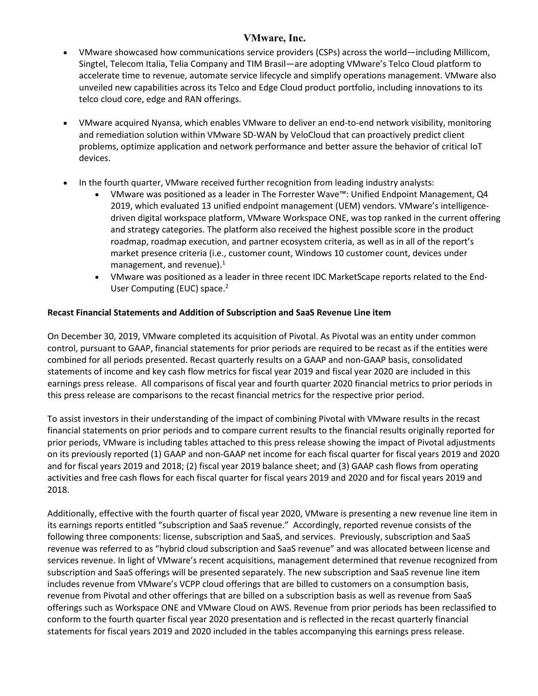- VMware showcased how communications service providers (CSPs) across the world—including Millicom, Singtel, Telecom Italia, Telia Company and TIM Brasil—are adopting VMware's Telco Cloud platform to accelerate time to revenue, automate service lifecycle and simplify operations management. VMware also unveiled new capabilities across its Telco and Edge Cloud product portfolio, including innovations to its telco cloud core, edge and RAN offerings.
- VMware acquired Nyansa, which enables VMware to deliver an end-to-end network visibility, monitoring and remediation solution within VMware SD-WAN by VeloCloud that can proactively predict client problems, optimize application and network performance and better assure the behavior of critical IoT devices.
- In the fourth quarter, VMware received further recognition from leading industry analysts:
	- VMware was positioned as a leader in The Forrester Wave™: Unified Endpoint Management, Q4 2019, which evaluated 13 unified endpoint management (UEM) vendors. VMware's intelligencedriven digital workspace platform, VMware Workspace ONE, was top ranked in the current offering and strategy categories. The platform also received the highest possible score in the product roadmap, roadmap execution, and partner ecosystem criteria, as well as in all of the report's market presence criteria (i.e., customer count, Windows 10 customer count, devices under management, and revenue). $<sup>1</sup>$ </sup>
	- VMware was positioned as a leader in three recent IDC MarketScape reports related to the End-User Computing (EUC) space.<sup>2</sup>

# **Recast Financial Statements and Addition of Subscription and SaaS Revenue Line item**

On December 30, 2019, VMware completed its acquisition of Pivotal. As Pivotal was an entity under common control, pursuant to GAAP, financial statements for prior periods are required to be recast as if the entities were combined for all periods presented. Recast quarterly results on a GAAP and non-GAAP basis, consolidated statements of income and key cash flow metrics for fiscal year 2019 and fiscal year 2020 are included in this earnings press release. All comparisons of fiscal year and fourth quarter 2020 financial metrics to prior periods in this press release are comparisons to the recast financial metrics for the respective prior period.

To assist investors in their understanding of the impact of combining Pivotal with VMware results in the recast financial statements on prior periods and to compare current results to the financial results originally reported for prior periods, VMware is including tables attached to this press release showing the impact of Pivotal adjustments on its previously reported (1) GAAP and non-GAAP net income for each fiscal quarter for fiscal years 2019 and 2020 and for fiscal years 2019 and 2018; (2) fiscal year 2019 balance sheet; and (3) GAAP cash flows from operating activities and free cash flows for each fiscal quarter for fiscal years 2019 and 2020 and for fiscal years 2019 and 2018.

Additionally, effective with the fourth quarter of fiscal year 2020, VMware is presenting a new revenue line item in its earnings reports entitled "subscription and SaaS revenue." Accordingly, reported revenue consists of the following three components: license, subscription and SaaS, and services. Previously, subscription and SaaS revenue was referred to as "hybrid cloud subscription and SaaS revenue" and was allocated between license and services revenue. In light of VMware's recent acquisitions, management determined that revenue recognized from subscription and SaaS offerings will be presented separately. The new subscription and SaaS revenue line item includes revenue from VMware's VCPP cloud offerings that are billed to customers on a consumption basis, revenue from Pivotal and other offerings that are billed on a subscription basis as well as revenue from SaaS offerings such as Workspace ONE and VMware Cloud on AWS. Revenue from prior periods has been reclassified to conform to the fourth quarter fiscal year 2020 presentation and is reflected in the recast quarterly financial statements for fiscal years 2019 and 2020 included in the tables accompanying this earnings press release.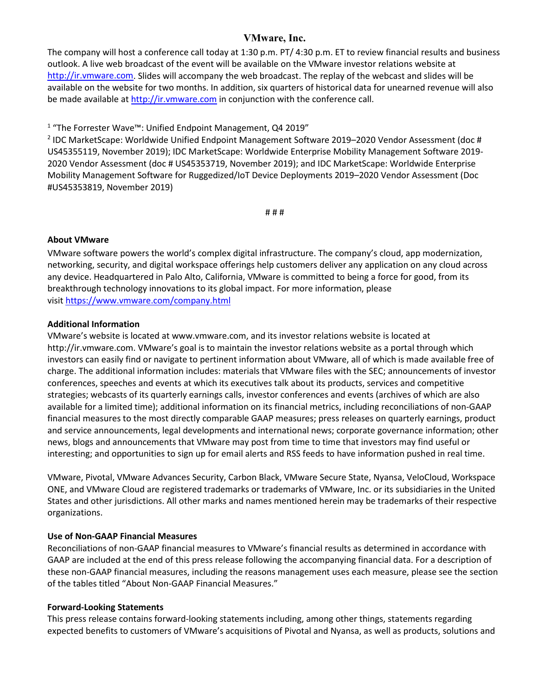The company will host a conference call today at 1:30 p.m. PT/ 4:30 p.m. ET to review financial results and business outlook. A live web broadcast of the event will be available on the VMware investor relations website at [http://ir.vmware.com.](http://ir.vmware.com/) Slides will accompany the web broadcast. The replay of the webcast and slides will be available on the website for two months. In addition, six quarters of historical data for unearned revenue will also be made available at [http://ir.vmware.com](http://ir.vmware.com/) in conjunction with the conference call.

<sup>1</sup> "The Forrester Wave™: Unified Endpoint Management, Q4 2019"

<sup>2</sup> IDC MarketScape: Worldwide Unified Endpoint Management Software 2019–2020 Vendor Assessment (doc # US45355119, November 2019); IDC MarketScape: Worldwide Enterprise Mobility Management Software 2019- 2020 Vendor Assessment (doc # US45353719, November 2019); and IDC MarketScape: Worldwide Enterprise Mobility Management Software for Ruggedized/IoT Device Deployments 2019–2020 Vendor Assessment (Doc #US45353819, November 2019)

# # #

# **About VMware**

VMware software powers the world's complex digital infrastructure. The company's cloud, app modernization, networking, security, and digital workspace offerings help customers deliver any application on any cloud across any device. Headquartered in Palo Alto, California, VMware is committed to being a force for good, from its breakthrough technology innovations to its global impact. For more information, please visit <https://www.vmware.com/company.html>

# **Additional Information**

VMware's website is located at www.vmware.com, and its investor relations website is located at http://ir.vmware.com. VMware's goal is to maintain the investor relations website as a portal through which investors can easily find or navigate to pertinent information about VMware, all of which is made available free of charge. The additional information includes: materials that VMware files with the SEC; announcements of investor conferences, speeches and events at which its executives talk about its products, services and competitive strategies; webcasts of its quarterly earnings calls, investor conferences and events (archives of which are also available for a limited time); additional information on its financial metrics, including reconciliations of non-GAAP financial measures to the most directly comparable GAAP measures; press releases on quarterly earnings, product and service announcements, legal developments and international news; corporate governance information; other news, blogs and announcements that VMware may post from time to time that investors may find useful or interesting; and opportunities to sign up for email alerts and RSS feeds to have information pushed in real time.

VMware, Pivotal, VMware Advances Security, Carbon Black, VMware Secure State, Nyansa, VeloCloud, Workspace ONE, and VMware Cloud are registered trademarks or trademarks of VMware, Inc. or its subsidiaries in the United States and other jurisdictions. All other marks and names mentioned herein may be trademarks of their respective organizations.

# **Use of Non-GAAP Financial Measures**

Reconciliations of non-GAAP financial measures to VMware's financial results as determined in accordance with GAAP are included at the end of this press release following the accompanying financial data. For a description of these non-GAAP financial measures, including the reasons management uses each measure, please see the section of the tables titled "About Non-GAAP Financial Measures."

# **Forward-Looking Statements**

This press release contains forward-looking statements including, among other things, statements regarding expected benefits to customers of VMware's acquisitions of Pivotal and Nyansa, as well as products, solutions and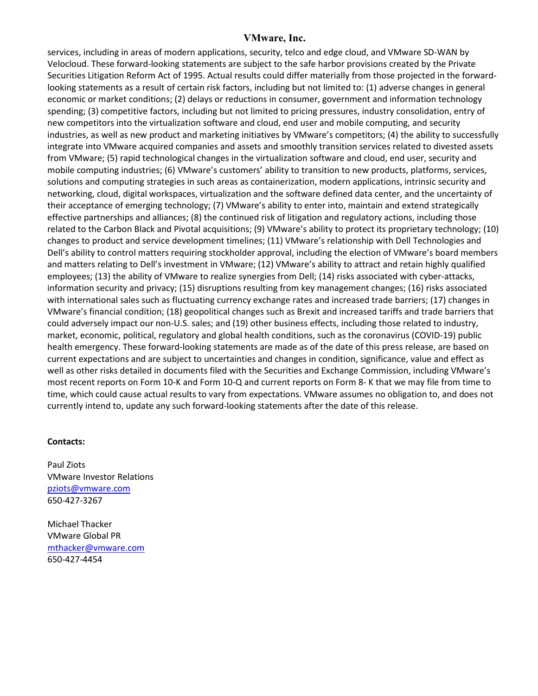services, including in areas of modern applications, security, telco and edge cloud, and VMware SD-WAN by Velocloud. These forward-looking statements are subject to the safe harbor provisions created by the Private Securities Litigation Reform Act of 1995. Actual results could differ materially from those projected in the forwardlooking statements as a result of certain risk factors, including but not limited to: (1) adverse changes in general economic or market conditions; (2) delays or reductions in consumer, government and information technology spending; (3) competitive factors, including but not limited to pricing pressures, industry consolidation, entry of new competitors into the virtualization software and cloud, end user and mobile computing, and security industries, as well as new product and marketing initiatives by VMware's competitors; (4) the ability to successfully integrate into VMware acquired companies and assets and smoothly transition services related to divested assets from VMware; (5) rapid technological changes in the virtualization software and cloud, end user, security and mobile computing industries; (6) VMware's customers' ability to transition to new products, platforms, services, solutions and computing strategies in such areas as containerization, modern applications, intrinsic security and networking, cloud, digital workspaces, virtualization and the software defined data center, and the uncertainty of their acceptance of emerging technology; (7) VMware's ability to enter into, maintain and extend strategically effective partnerships and alliances; (8) the continued risk of litigation and regulatory actions, including those related to the Carbon Black and Pivotal acquisitions; (9) VMware's ability to protect its proprietary technology; (10) changes to product and service development timelines; (11) VMware's relationship with Dell Technologies and Dell's ability to control matters requiring stockholder approval, including the election of VMware's board members and matters relating to Dell's investment in VMware; (12) VMware's ability to attract and retain highly qualified employees; (13) the ability of VMware to realize synergies from Dell; (14) risks associated with cyber-attacks, information security and privacy; (15) disruptions resulting from key management changes; (16) risks associated with international sales such as fluctuating currency exchange rates and increased trade barriers; (17) changes in VMware's financial condition; (18) geopolitical changes such as Brexit and increased tariffs and trade barriers that could adversely impact our non-U.S. sales; and (19) other business effects, including those related to industry, market, economic, political, regulatory and global health conditions, such as the coronavirus (COVID-19) public health emergency. These forward-looking statements are made as of the date of this press release, are based on current expectations and are subject to uncertainties and changes in condition, significance, value and effect as well as other risks detailed in documents filed with the Securities and Exchange Commission, including VMware's most recent reports on Form 10-K and Form 10-Q and current reports on Form 8- K that we may file from time to time, which could cause actual results to vary from expectations. VMware assumes no obligation to, and does not currently intend to, update any such forward-looking statements after the date of this release.

# **Contacts:**

Paul Ziots VMware Investor Relations [pziots@vmware.com](mailto:pziots@vmware.com) 650-427-3267

Michael Thacker VMware Global PR [mthacker@vmware.com](mailto:mthacker@vmware.com) 650-427-4454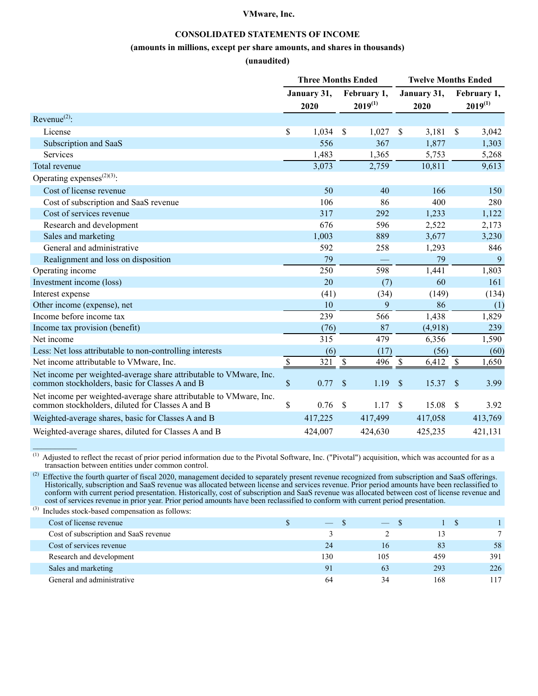### **CONSOLIDATED STATEMENTS OF INCOME**

#### **(amounts in millions, except per share amounts, and shares in thousands)**

#### **(unaudited)**

|                                                                                                                        |             | <b>Three Months Ended</b> |                             |                           | <b>Twelve Months Ended</b> |                    |                             |
|------------------------------------------------------------------------------------------------------------------------|-------------|---------------------------|-----------------------------|---------------------------|----------------------------|--------------------|-----------------------------|
|                                                                                                                        |             | January 31,<br>2020       | February 1,<br>$2019^{(1)}$ |                           | January 31,<br>2020        |                    | February 1,<br>$2019^{(1)}$ |
| Revenue <sup>(2)</sup> :                                                                                               |             |                           |                             |                           |                            |                    |                             |
| License                                                                                                                | \$          | 1,034                     | \$<br>1,027                 | \$                        | 3,181                      | \$                 | 3,042                       |
| Subscription and SaaS                                                                                                  |             | 556                       | 367                         |                           | 1,877                      |                    | 1,303                       |
| <b>Services</b>                                                                                                        |             | 1,483                     | 1,365                       |                           | 5,753                      |                    | 5,268                       |
| Total revenue                                                                                                          |             | 3,073                     | 2,759                       |                           | 10,811                     |                    | 9,613                       |
| Operating expenses <sup><math>(2)(3)</math></sup> :                                                                    |             |                           |                             |                           |                            |                    |                             |
| Cost of license revenue                                                                                                |             | 50                        | 40                          |                           | 166                        |                    | 150                         |
| Cost of subscription and SaaS revenue                                                                                  |             | 106                       | 86                          |                           | 400                        |                    | 280                         |
| Cost of services revenue                                                                                               |             | 317                       | 292                         |                           | 1,233                      |                    | 1,122                       |
| Research and development                                                                                               |             | 676                       | 596                         |                           | 2,522                      |                    | 2,173                       |
| Sales and marketing                                                                                                    |             | 1,003                     | 889                         |                           | 3,677                      |                    | 3,230                       |
| General and administrative                                                                                             |             | 592                       | 258                         |                           | 1,293                      |                    | 846                         |
| Realignment and loss on disposition                                                                                    |             | 79                        |                             |                           | 79                         |                    | 9                           |
| Operating income                                                                                                       |             | 250                       | 598                         |                           | 1,441                      |                    | 1,803                       |
| Investment income (loss)                                                                                               |             | 20                        | (7)                         |                           | 60                         |                    | 161                         |
| Interest expense                                                                                                       |             | (41)                      | (34)                        |                           | (149)                      |                    | (134)                       |
| Other income (expense), net                                                                                            |             | 10                        | 9                           |                           | 86                         |                    | (1)                         |
| Income before income tax                                                                                               |             | 239                       | 566                         |                           | 1,438                      |                    | 1,829                       |
| Income tax provision (benefit)                                                                                         |             | (76)                      | 87                          |                           | (4,918)                    |                    | 239                         |
| Net income                                                                                                             |             | 315                       | 479                         |                           | 6,356                      |                    | 1,590                       |
| Less: Net loss attributable to non-controlling interests                                                               |             | (6)                       | (17)                        |                           | (56)                       |                    | (60)                        |
| Net income attributable to VMware, Inc.                                                                                | $\mathbb S$ | 321                       | \$<br>496                   | $\boldsymbol{\mathsf{S}}$ | 6,412                      | \$                 | 1,650                       |
| Net income per weighted-average share attributable to VMware, Inc.<br>common stockholders, basic for Classes A and B   | $\mathbb S$ | 0.77                      | \$<br>1.19                  | $\boldsymbol{\mathsf{S}}$ | 15.37                      | \$                 | 3.99                        |
| Net income per weighted-average share attributable to VMware, Inc.<br>common stockholders, diluted for Classes A and B | \$          | 0.76                      | \$<br>1.17                  | \$                        | 15.08                      | $\mathbf{\hat{S}}$ | 3.92                        |
| Weighted-average shares, basic for Classes A and B                                                                     |             | 417,225                   | 417,499                     |                           | 417,058                    |                    | 413,769                     |
| Weighted-average shares, diluted for Classes A and B                                                                   |             | 424,007                   | 424,630                     |                           | 425,235                    |                    | 421,131                     |

 $<sup>(1)</sup>$  Adjusted to reflect the recast of prior period information due to the Pivotal Software, Inc. ("Pivotal") acquisition, which was accounted for as a</sup> transaction between entities under common control.

<sup>(2)</sup> Effective the fourth quarter of fiscal 2020, management decided to separately present revenue recognized from subscription and SaaS offerings. Historically, subscription and SaaS revenue was allocated between license and services revenue. Prior period amounts have been reclassified to conform with current period presentation. Historically, cost of subscription and SaaS revenue was allocated between cost of license revenue and cost of services revenue in prior year. Prior period amounts have been reclassified to conform with current period presentation.

(3) Includes stock-based compensation as follows:

 $\mathcal{L}$  , we have the set of  $\mathcal{L}$ 

| $\overline{\phantom{m}}$ | $\frac{1}{2}$ |     |     |
|--------------------------|---------------|-----|-----|
|                          |               |     |     |
| 24                       | 16            | 83  | 58  |
| 130                      | 105           | 459 | 391 |
| Q <sub>1</sub>           | 63            | 293 | 226 |
| 64                       | 34            | 168 | 117 |
|                          |               |     |     |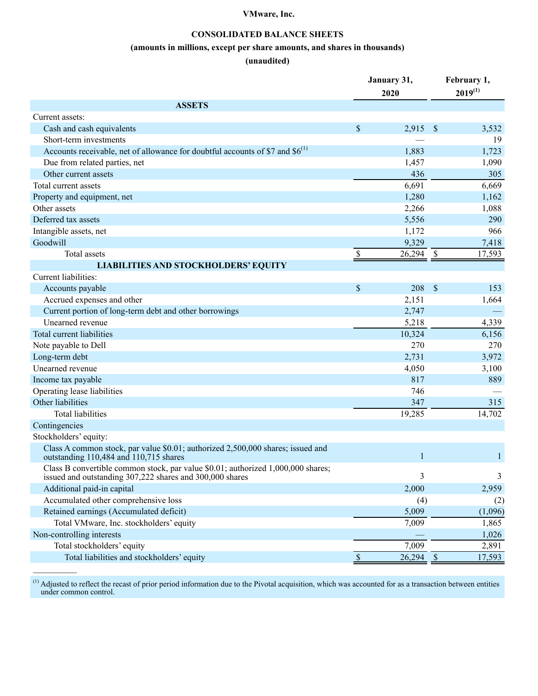## **CONSOLIDATED BALANCE SHEETS**

### **(amounts in millions, except per share amounts, and shares in thousands)**

### **(unaudited)**

|                                                                                                                                              |             | January 31,<br>2020 |               | February 1,<br>$2019^{(1)}$ |
|----------------------------------------------------------------------------------------------------------------------------------------------|-------------|---------------------|---------------|-----------------------------|
| <b>ASSETS</b>                                                                                                                                |             |                     |               |                             |
| Current assets:                                                                                                                              |             |                     |               |                             |
| Cash and cash equivalents                                                                                                                    | \$          | 2,915               | - \$          | 3,532                       |
| Short-term investments                                                                                                                       |             |                     |               | 19                          |
| Accounts receivable, net of allowance for doubtful accounts of \$7 and $$6^{(1)}$$                                                           |             | 1,883               |               | 1,723                       |
| Due from related parties, net                                                                                                                |             | 1,457               |               | 1,090                       |
| Other current assets                                                                                                                         |             | 436                 |               | 305                         |
| Total current assets                                                                                                                         |             | 6,691               |               | 6,669                       |
| Property and equipment, net                                                                                                                  |             | 1,280               |               | 1,162                       |
| Other assets                                                                                                                                 |             | 2,266               |               | 1,088                       |
| Deferred tax assets                                                                                                                          |             | 5,556               |               | 290                         |
| Intangible assets, net                                                                                                                       |             | 1,172               |               | 966                         |
| Goodwill                                                                                                                                     |             | 9,329               |               | 7,418                       |
| Total assets                                                                                                                                 | \$          | 26,294              | $\mathbb{S}$  | 17,593                      |
| <b>LIABILITIES AND STOCKHOLDERS' EQUITY</b>                                                                                                  |             |                     |               |                             |
| Current liabilities:                                                                                                                         |             |                     |               |                             |
| Accounts payable                                                                                                                             | $\sqrt{\ }$ | 208                 | $\mathcal{S}$ | 153                         |
| Accrued expenses and other                                                                                                                   |             | 2,151               |               | 1,664                       |
| Current portion of long-term debt and other borrowings                                                                                       |             | 2,747               |               |                             |
| Unearned revenue                                                                                                                             |             | 5,218               |               | 4,339                       |
| Total current liabilities                                                                                                                    |             | 10,324              |               | 6,156                       |
| Note payable to Dell                                                                                                                         |             | 270                 |               | 270                         |
| Long-term debt                                                                                                                               |             | 2,731               |               | 3,972                       |
| Unearned revenue                                                                                                                             |             | 4,050               |               | 3,100                       |
| Income tax payable                                                                                                                           |             | 817                 |               | 889                         |
| Operating lease liabilities                                                                                                                  |             | 746                 |               |                             |
| Other liabilities                                                                                                                            |             | 347                 |               | 315                         |
| <b>Total liabilities</b>                                                                                                                     |             | 19,285              |               | 14,702                      |
| Contingencies                                                                                                                                |             |                     |               |                             |
| Stockholders' equity:                                                                                                                        |             |                     |               |                             |
| Class A common stock, par value \$0.01; authorized 2,500,000 shares; issued and<br>outstanding 110,484 and 110,715 shares                    |             |                     |               | 1                           |
| Class B convertible common stock, par value \$0.01; authorized 1,000,000 shares;<br>issued and outstanding 307,222 shares and 300,000 shares |             | 3                   |               | 3                           |
| Additional paid-in capital                                                                                                                   |             | 2,000               |               | 2,959                       |
| Accumulated other comprehensive loss                                                                                                         |             | (4)                 |               | (2)                         |
| Retained earnings (Accumulated deficit)                                                                                                      |             | 5,009               |               | (1,096)                     |
| Total VMware, Inc. stockholders' equity                                                                                                      |             | 7,009               |               | 1,865                       |
| Non-controlling interests                                                                                                                    |             |                     |               | 1,026                       |
| Total stockholders' equity                                                                                                                   |             | 7,009               |               | 2,891                       |
| Total liabilities and stockholders' equity                                                                                                   | $\sqrt{\ }$ | $26,294$ \$         |               | 17,593                      |

 $<sup>(1)</sup>$  Adjusted to reflect the recast of prior period information due to the Pivotal acquisition, which was accounted for as a transaction between entities</sup> under common control.

 $\mathcal{L}$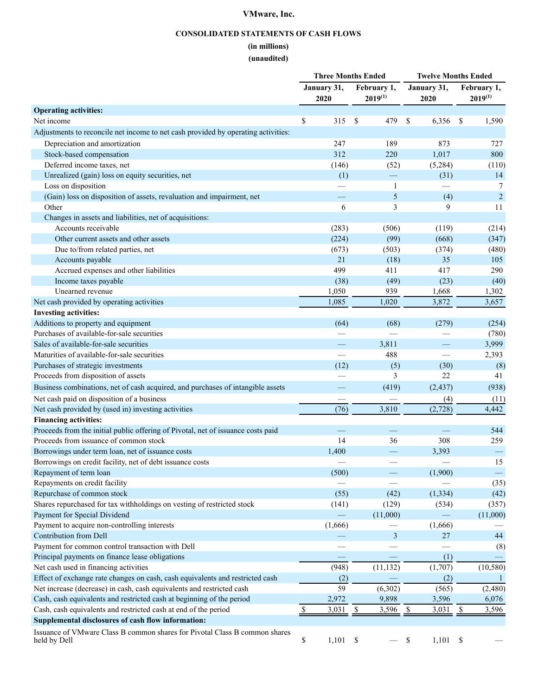## **CONSOLIDATED STATEMENTS OF CASH FLOWS**

# **(in millions)**

## **(unaudited)**

|                                                                                            |                        | <b>Three Months Ended</b> |                                            | <b>Twelve Months Ended</b>                 |                                   |                          |
|--------------------------------------------------------------------------------------------|------------------------|---------------------------|--------------------------------------------|--------------------------------------------|-----------------------------------|--------------------------|
|                                                                                            |                        | January 31,               | February 1,                                | January 31,                                |                                   | February 1,              |
|                                                                                            |                        | 2020                      | $2019^{(1)}$                               | 2020                                       |                                   | $2019^{(1)}$             |
| <b>Operating activities:</b>                                                               |                        |                           |                                            |                                            |                                   |                          |
| Net income                                                                                 | \$                     | 315                       | 479<br>\$                                  | \$<br>6,356                                | -S                                | 1,590                    |
| Adjustments to reconcile net income to net cash provided by operating activities:          |                        |                           |                                            |                                            |                                   |                          |
| Depreciation and amortization                                                              |                        | 247                       | 189                                        | 873                                        |                                   | 727                      |
| Stock-based compensation                                                                   |                        | 312                       | 220                                        | 1,017                                      |                                   | 800                      |
| Deferred income taxes, net                                                                 |                        | (146)                     | (52)                                       | (5,284)                                    |                                   | (110)                    |
| Unrealized (gain) loss on equity securities, net                                           |                        | (1)                       |                                            | (31)                                       |                                   | 14                       |
| Loss on disposition                                                                        |                        |                           | 1                                          |                                            |                                   | 7                        |
| (Gain) loss on disposition of assets, revaluation and impairment, net                      |                        |                           | 5                                          | (4)                                        |                                   | $\overline{2}$           |
| Other                                                                                      |                        | 6                         | 3                                          | 9                                          |                                   | 11                       |
| Changes in assets and liabilities, net of acquisitions:                                    |                        |                           |                                            |                                            |                                   |                          |
| Accounts receivable                                                                        |                        | (283)                     | (506)                                      | (119)                                      |                                   | (214)                    |
| Other current assets and other assets                                                      |                        | (224)                     | (99)                                       | (668)                                      |                                   | (347)                    |
| Due to/from related parties, net                                                           |                        | (673)                     | (503)                                      | (374)                                      |                                   | (480)                    |
| Accounts payable                                                                           |                        | 21                        | (18)                                       | 35                                         |                                   | 105                      |
| Accrued expenses and other liabilities                                                     |                        | 499                       | 411                                        | 417                                        |                                   | 290                      |
| Income taxes payable                                                                       |                        | (38)                      | (49)                                       | (23)                                       |                                   | (40)                     |
| Unearned revenue                                                                           |                        |                           |                                            |                                            |                                   |                          |
|                                                                                            |                        | 1,050<br>1,085            | 939<br>1,020                               | 1,668<br>3,872                             |                                   | 1,302                    |
| Net cash provided by operating activities<br><b>Investing activities:</b>                  |                        |                           |                                            |                                            |                                   | 3,657                    |
|                                                                                            |                        |                           |                                            |                                            |                                   |                          |
| Additions to property and equipment<br>Purchases of available-for-sale securities          |                        | (64)                      | (68)                                       | (279)                                      |                                   | (254)                    |
| Sales of available-for-sale securities                                                     |                        |                           |                                            |                                            |                                   | (780)                    |
|                                                                                            |                        |                           | 3,811                                      |                                            |                                   | 3,999                    |
| Maturities of available-for-sale securities                                                |                        |                           | 488                                        |                                            |                                   | 2,393                    |
| Purchases of strategic investments                                                         |                        | (12)                      | (5)                                        | (30)                                       |                                   | (8)                      |
| Proceeds from disposition of assets                                                        |                        |                           | 3                                          | 22                                         |                                   | 41                       |
| Business combinations, net of cash acquired, and purchases of intangible assets            |                        |                           | (419)                                      | (2, 437)                                   |                                   | (938)                    |
| Net cash paid on disposition of a business                                                 |                        |                           |                                            | (4)                                        |                                   | (11)                     |
| Net cash provided by (used in) investing activities                                        |                        | (76)                      | 3,810                                      | (2,728)                                    |                                   | 4,442                    |
| <b>Financing activities:</b>                                                               |                        |                           |                                            |                                            |                                   |                          |
| Proceeds from the initial public offering of Pivotal, net of issuance costs paid           |                        | $\overline{\phantom{0}}$  | $\overline{\phantom{0}}$                   |                                            |                                   | 544                      |
| Proceeds from issuance of common stock                                                     |                        | 14                        | 36                                         | 308                                        |                                   | 259                      |
| Borrowings under term loan, net of issuance costs                                          |                        | 1,400                     |                                            | 3,393                                      |                                   | $\overline{\phantom{m}}$ |
| Borrowings on credit facility, net of debt issuance costs                                  |                        |                           |                                            |                                            |                                   | 15                       |
| Repayment of term loan                                                                     |                        | (500)                     |                                            | (1,900)                                    |                                   |                          |
| Repayments on credit facility                                                              |                        |                           |                                            |                                            |                                   | (35)                     |
| Repurchase of common stock                                                                 |                        | (55)                      | (42)                                       | (1, 334)                                   |                                   | (42)                     |
| Shares repurchased for tax withholdings on vesting of restricted stock                     |                        | (141)                     | (129)                                      | (534)                                      |                                   | (357)                    |
| Payment for Special Dividend                                                               |                        |                           | (11,000)                                   |                                            |                                   | (11,000)                 |
| Payment to acquire non-controlling interests                                               |                        | (1,666)                   |                                            | (1,666)                                    |                                   |                          |
| Contribution from Dell                                                                     |                        |                           | 3                                          | 27                                         |                                   | 44                       |
| Payment for common control transaction with Dell                                           |                        |                           |                                            |                                            |                                   | (8)                      |
| Principal payments on finance lease obligations                                            |                        |                           |                                            | (1)                                        |                                   |                          |
| Net cash used in financing activities                                                      |                        | (948)                     | (11, 132)                                  | (1,707)                                    |                                   | (10, 580)                |
| Effect of exchange rate changes on cash, cash equivalents and restricted cash              |                        | (2)                       |                                            | (2)                                        |                                   |                          |
| Net increase (decrease) in cash, cash equivalents and restricted cash                      |                        | 59                        | (6,302)                                    | (565)                                      |                                   | (2,480)                  |
| Cash, cash equivalents and restricted cash at beginning of the period                      |                        | 2,972                     | 9,898                                      | 3,596                                      |                                   | 6,076                    |
| Cash, cash equivalents and restricted cash at end of the period                            | $\mathbf{\mathcal{S}}$ | 3,031                     | $\frac{\mathcal{S}}{\mathcal{S}}$<br>3,596 | $\frac{\mathcal{S}}{\mathcal{S}}$<br>3,031 | $\frac{\mathcal{S}}{\mathcal{S}}$ | 3,596                    |
| Supplemental disclosures of cash flow information:                                         |                        |                           |                                            |                                            |                                   |                          |
| Issuance of VMware Class B common shares for Pivotal Class B common shares<br>held by Dell | \$                     | 1,101                     | $\mathbb S$                                | \$<br>1,101                                | $\boldsymbol{\mathsf{S}}$         |                          |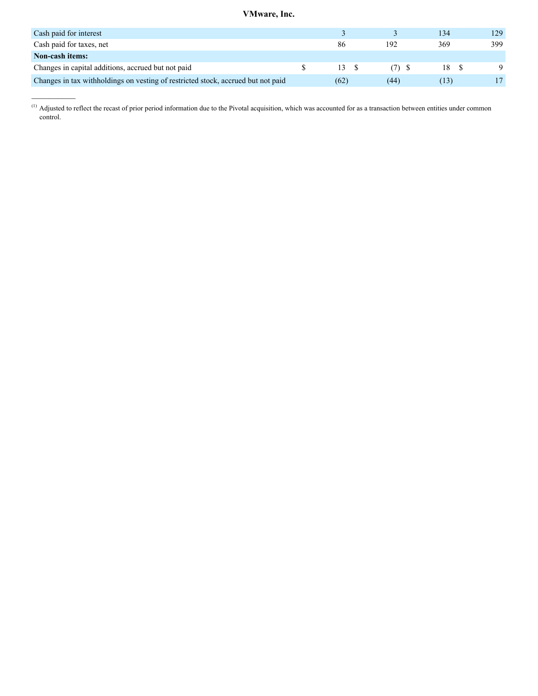| Cash paid for interest                                                           |      |         | 134     | 129. |
|----------------------------------------------------------------------------------|------|---------|---------|------|
| Cash paid for taxes, net                                                         | 86   | 192     | 369     | 399  |
| <b>Non-cash items:</b>                                                           |      |         |         |      |
| Changes in capital additions, accrued but not paid                               | 13S  | $(7)$ S | 18      |      |
| Changes in tax withholdings on vesting of restricted stock, accrued but not paid | (62) | (44)    | . I 3 I |      |

 $<sup>(1)</sup>$  Adjusted to reflect the recast of prior period information due to the Pivotal acquisition, which was accounted for as a transaction between entities under common</sup> control.

 $\mathcal{L}=\mathcal{L}$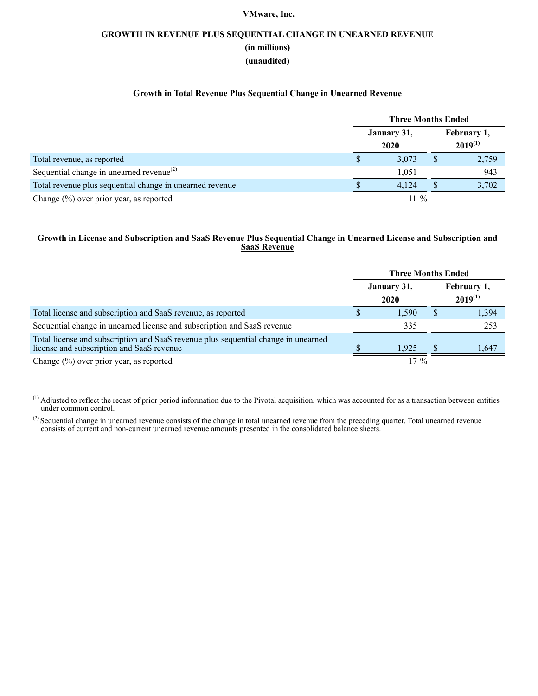# **GROWTH IN REVENUE PLUS SEQUENTIAL CHANGE IN UNEARNED REVENUE (in millions) (unaudited)**

## **Growth in Total Revenue Plus Sequential Change in Unearned Revenue**

|                                                          | <b>Three Months Ended</b> |  |                             |  |  |  |
|----------------------------------------------------------|---------------------------|--|-----------------------------|--|--|--|
|                                                          | January 31,<br>2020       |  | February 1,<br>$2019^{(1)}$ |  |  |  |
| Total revenue, as reported                               | 3,073                     |  | 2,759                       |  |  |  |
| Sequential change in unearned revenue <sup>(2)</sup>     | 1.051                     |  | 943                         |  |  |  |
| Total revenue plus sequential change in unearned revenue | 4.124                     |  | 3,702                       |  |  |  |
| Change $(\%)$ over prior year, as reported               | $11\%$                    |  |                             |  |  |  |

### **Growth in License and Subscription and SaaS Revenue Plus Sequential Change in Unearned License and Subscription and SaaS Revenue**

|                                                                                                                                 | <b>Three Months Ended</b> |                     |   |                             |  |  |
|---------------------------------------------------------------------------------------------------------------------------------|---------------------------|---------------------|---|-----------------------------|--|--|
|                                                                                                                                 |                           | January 31,<br>2020 |   | February 1,<br>$2019^{(1)}$ |  |  |
| Total license and subscription and SaaS revenue, as reported                                                                    |                           | 1.590               | S | 1,394                       |  |  |
| Sequential change in unearned license and subscription and SaaS revenue                                                         |                           | 335                 |   | 253                         |  |  |
| Total license and subscription and SaaS revenue plus sequential change in unearned<br>license and subscription and SaaS revenue |                           | 1.925               |   | 1.647                       |  |  |
| Change $(\%)$ over prior year, as reported                                                                                      |                           | $17\%$              |   |                             |  |  |

<sup>(1)</sup> Adjusted to reflect the recast of prior period information due to the Pivotal acquisition, which was accounted for as a transaction between entities under common control.

 $^{(2)}$  Sequential change in unearned revenue consists of the change in total unearned revenue from the preceding quarter. Total unearned revenue consists of current and non-current unearned revenue amounts presented in the consolidated balance sheets.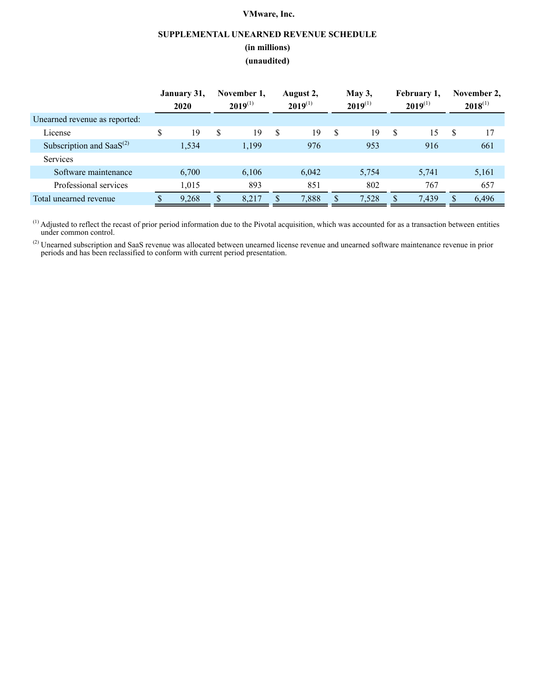## **SUPPLEMENTAL UNEARNED REVENUE SCHEDULE**

### **(in millions)**

### **(unaudited)**

|                                | January 31,<br>2020 | November 1,<br>$2019^{(1)}$ |   | August 2,<br>$2019^{(1)}$ |    | May $3,$<br>$2019^{(1)}$ |   | February 1,<br>$2019^{(1)}$ |    | November 2.<br>$2018^{(1)}$ |
|--------------------------------|---------------------|-----------------------------|---|---------------------------|----|--------------------------|---|-----------------------------|----|-----------------------------|
| Unearned revenue as reported:  |                     |                             |   |                           |    |                          |   |                             |    |                             |
| License                        | \$<br>19            | \$<br>19                    | S | 19                        | S  | 19                       | S | 15                          | -S | 17                          |
| Subscription and Saa $S^{(2)}$ | 1,534               | 1,199                       |   | 976                       |    | 953                      |   | 916                         |    | 661                         |
| <b>Services</b>                |                     |                             |   |                           |    |                          |   |                             |    |                             |
| Software maintenance           | 6,700               | 6,106                       |   | 6,042                     |    | 5,754                    |   | 5,741                       |    | 5,161                       |
| Professional services          | 1,015               | 893                         |   | 851                       |    | 802                      |   | 767                         |    | 657                         |
| Total unearned revenue         | 9,268               | \$<br>8.217                 |   | 7,888                     | \$ | 7,528                    |   | 7,439                       |    | 6,496                       |

 $<sup>(1)</sup>$  Adjusted to reflect the recast of prior period information due to the Pivotal acquisition, which was accounted for as a transaction between entities</sup> under common control.

 $^{(2)}$  Unearned subscription and SaaS revenue was allocated between unearned license revenue and unearned software maintenance revenue in prior periods and has been reclassified to conform with current period presentation.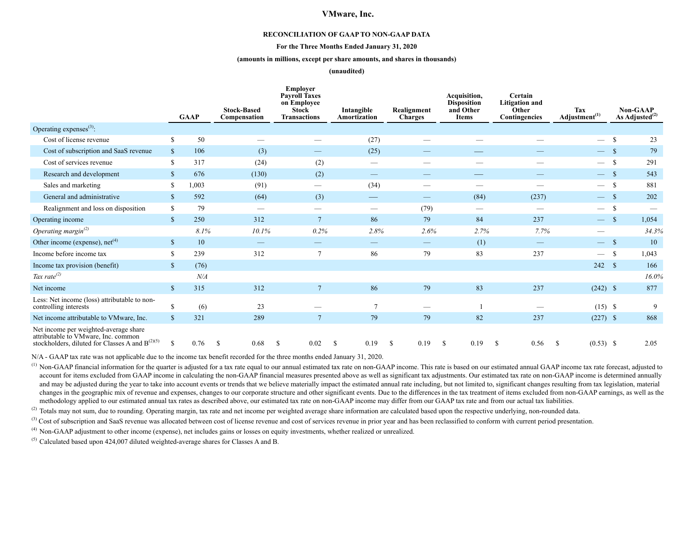#### **RECONCILIATION OF GAAP TO NON-GAAP DATA**

#### **For the Three Months Ended January 31, 2020**

#### **(amounts in millions, except per share amounts, and shares in thousands)**

#### **(unaudited)**

|                                                                                                                                      |              | <b>GAAP</b> | <b>Stock-Based</b><br>Compensation | <b>Employer</b><br><b>Payroll Taxes</b><br>on Employee<br><b>Stock</b><br><b>Transactions</b> | Intangible<br>Amortization | Realignment<br><b>Charges</b> | Acquisition,<br><b>Disposition</b><br>and Other<br><b>Items</b> | Certain<br><b>Litigation and</b><br>Other<br>Contingencies | Tax<br>Adjustment <sup>(1)</sup> |                    | <b>Non-GAAP</b><br>As Adjusted $^{(2)}$ |
|--------------------------------------------------------------------------------------------------------------------------------------|--------------|-------------|------------------------------------|-----------------------------------------------------------------------------------------------|----------------------------|-------------------------------|-----------------------------------------------------------------|------------------------------------------------------------|----------------------------------|--------------------|-----------------------------------------|
| Operating expenses <sup>(3)</sup> :                                                                                                  |              |             |                                    |                                                                                               |                            |                               |                                                                 |                                                            |                                  |                    |                                         |
| Cost of license revenue                                                                                                              | S            | 50          |                                    | $\overline{\phantom{0}}$                                                                      | (27)                       |                               |                                                                 |                                                            | $\overline{\phantom{m}}$         | $\mathcal{S}$      | 23                                      |
| Cost of subscription and SaaS revenue                                                                                                | \$           | 106         | (3)                                |                                                                                               | (25)                       |                               | $\overline{\phantom{a}}$                                        |                                                            | $\hspace{0.05cm}$                | -S                 | 79                                      |
| Cost of services revenue                                                                                                             | \$           | 317         | (24)                               | (2)                                                                                           |                            |                               |                                                                 |                                                            | $\hspace{0.1mm}-\hspace{0.1mm}$  | $\mathcal{S}$      | 291                                     |
| Research and development                                                                                                             | \$           | 676         | (130)                              | (2)                                                                                           |                            |                               |                                                                 |                                                            | $\hspace{0.05cm}$                | -S                 | 543                                     |
| Sales and marketing                                                                                                                  | \$           | 1,003       | (91)                               | —                                                                                             | (34)                       |                               |                                                                 |                                                            | $\hspace{0.05cm}$                | -8                 | 881                                     |
| General and administrative                                                                                                           | \$           | 592         | (64)                               | (3)                                                                                           |                            | $\overline{\phantom{0}}$      | (84)                                                            | (237)                                                      |                                  | $\mathbf{\hat{s}}$ | 202                                     |
| Realignment and loss on disposition                                                                                                  | \$           | 79          |                                    |                                                                                               |                            | (79)                          |                                                                 | $\overline{\phantom{a}}$                                   | $\hspace{0.1mm}-\hspace{0.1mm}$  |                    |                                         |
| Operating income                                                                                                                     | \$           | 250         | 312                                | $\overline{7}$                                                                                | 86                         | 79                            | 84                                                              | 237                                                        | $\overline{\phantom{a}}$         | $\mathbf S$        | 1,054                                   |
| Operating margin <sup>(2)</sup>                                                                                                      |              | 8.1%        | 10.1%                              | 0.2%                                                                                          | 2.8%                       | 2.6%                          | 2.7%                                                            | 7.7%                                                       |                                  |                    | 34.3%                                   |
| Other income (expense), $net(4)$                                                                                                     | \$           | 10          | $\overbrace{\phantom{12333}}$      | –                                                                                             |                            |                               | (1)                                                             |                                                            | $\frac{1}{2}$                    | - \$               | 10                                      |
| Income before income tax                                                                                                             | \$           | 239         | 312                                | $\overline{7}$                                                                                | 86                         | 79                            | 83                                                              | 237                                                        | $\hspace{0.1mm}-\hspace{0.1mm}$  | -S                 | 1,043                                   |
| Income tax provision (benefit)                                                                                                       | $\mathbf{s}$ | (76)        |                                    |                                                                                               |                            |                               |                                                                 |                                                            | 242 S                            |                    | 166                                     |
| Tax rate $^{(2)}$                                                                                                                    |              | N/A         |                                    |                                                                                               |                            |                               |                                                                 |                                                            |                                  |                    | 16.0%                                   |
| Net income                                                                                                                           | $\mathbf{s}$ | 315         | 312                                | $\overline{7}$                                                                                | 86                         | 79                            | 83                                                              | 237                                                        | $(242)$ \$                       |                    | 877                                     |
| Less: Net income (loss) attributable to non-<br>controlling interests                                                                | S            | (6)         | 23                                 |                                                                                               |                            |                               |                                                                 |                                                            | $(15)$ \$                        |                    | 9                                       |
| Net income attributable to VMware, Inc.                                                                                              | $\mathbf{s}$ | 321         | 289                                | $\overline{7}$                                                                                | 79                         | 79                            | 82                                                              | 237                                                        | $(227)$ \$                       |                    | 868                                     |
| Net income per weighted-average share<br>attributable to VMware, Inc. common<br>stockholders, diluted for Classes A and $B^{(2)(5)}$ | \$           | 0.76        | -S<br>0.68                         | 0.02<br>\$                                                                                    | -S<br>0.19                 | 0.19<br>-S                    | <sup>\$</sup><br>0.19                                           | 0.56<br><sup>\$</sup>                                      | $(0.53)$ \$<br><sup>\$</sup>     |                    | 2.05                                    |

N/A - GAAP tax rate was not applicable due to the income tax benefit recorded for the three months ended January 31, 2020.

 $<sup>(1)</sup>$  Non-GAAP financial information for the quarter is adjusted for a tax rate equal to our annual estimated tax rate on non-GAAP income. This rate is based on our estimated annual GAAP income tax rate forecast, adju</sup> account for items excluded from GAAP income in calculating the non-GAAP financial measures presented above as well as significant tax adjustments. Our estimated tax rate on non-GAAP income is determined annually and may be adjusted during the year to take into account events or trends that we believe materially impact the estimated annual rate including, but not limited to, significant changes resulting from tax legislation, mater changes in the geographic mix of revenue and expenses, changes to our corporate structure and other significant events. Due to the differences in the tax treatment of items excluded from non-GAAP earnings, as well as the methodology applied to our estimated annual tax rates as described above, our estimated tax rate on non-GAAP income may differ from our GAAP tax rate and from our actual tax liabilities.

<sup>(2)</sup> Totals may not sum, due to rounding. Operating margin, tax rate and net income per weighted average share information are calculated based upon the respective underlying, non-rounded data.

<sup>(3)</sup> Cost of subscription and SaaS revenue was allocated between cost of license revenue and cost of services revenue in prior year and has been reclassified to conform with current period presentation.

(4) Non-GAAP adjustment to other income (expense), net includes gains or losses on equity investments, whether realized or unrealized.

 $(5)$  Calculated based upon 424,007 diluted weighted-average shares for Classes A and B.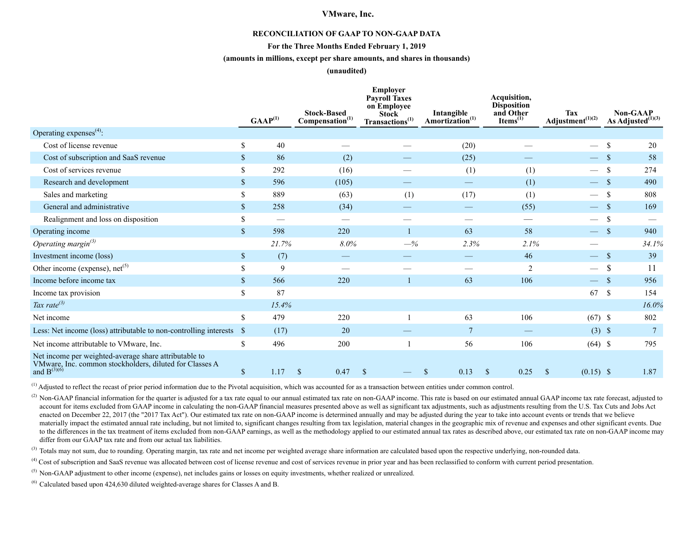#### **RECONCILIATION OF GAAP TO NON-GAAP DATA**

#### **For the Three Months Ended February 1, 2019**

#### **(amounts in millions, except per share amounts, and shares in thousands)**

#### **(unaudited)**

|                                                                                                                                            |                           | $GAAP^{(1)}$ | <b>Stock-Based</b><br>Compensation <sup>(1)</sup> | Employer<br><b>Payroll Taxes</b><br>on Employee<br><b>Stock</b><br>Transactions <sup>(1)</sup> | Intangible<br>Amortization <sup>(1)</sup> | Acquisition,<br><b>Disposition</b><br>and Other<br>Items $^{(1)}$ | <b>Tax</b><br>Adjustment $(1)(2)$ | <b>Non-GAAP</b><br>As Adjusted $^{(1)(3)}$ |
|--------------------------------------------------------------------------------------------------------------------------------------------|---------------------------|--------------|---------------------------------------------------|------------------------------------------------------------------------------------------------|-------------------------------------------|-------------------------------------------------------------------|-----------------------------------|--------------------------------------------|
| Operating expenses $^{(4)}$ :                                                                                                              |                           |              |                                                   |                                                                                                |                                           |                                                                   |                                   |                                            |
| Cost of license revenue                                                                                                                    | \$                        | 40           |                                                   |                                                                                                | (20)                                      |                                                                   |                                   | <sup>\$</sup><br>20                        |
| Cost of subscription and SaaS revenue                                                                                                      | $\mathbb{S}$              | 86           | (2)                                               |                                                                                                | (25)                                      |                                                                   | $\overline{\phantom{0}}$          | 58                                         |
| Cost of services revenue                                                                                                                   | \$                        | 292          | (16)                                              |                                                                                                | (1)                                       | (1)                                                               |                                   | 274<br>S                                   |
| Research and development                                                                                                                   | $\mathbf S$               | 596          | (105)                                             |                                                                                                |                                           | (1)                                                               |                                   | 490<br>$\mathbf{\hat{s}}$                  |
| Sales and marketing                                                                                                                        | \$                        | 889          | (63)                                              | (1)                                                                                            | (17)                                      | (1)                                                               | $\overline{\phantom{0}}$          | 808                                        |
| General and administrative                                                                                                                 | \$                        | 258          | (34)                                              |                                                                                                |                                           | (55)                                                              |                                   | 169                                        |
| Realignment and loss on disposition                                                                                                        | \$                        |              | $\overbrace{\phantom{12333}}$                     |                                                                                                |                                           |                                                                   |                                   | <b>S</b>                                   |
| Operating income                                                                                                                           | $\mathbb{S}$              | 598          | 220                                               |                                                                                                | 63                                        | 58                                                                | $\overline{\phantom{0}}$          | $\mathbf S$<br>940                         |
| Operating margin $^{(3)}$                                                                                                                  |                           | 21.7%        | 8.0%                                              | $-$ %                                                                                          | 2.3%                                      | 2.1%                                                              |                                   | 34.1%                                      |
| Investment income (loss)                                                                                                                   | \$                        | (7)          |                                                   |                                                                                                |                                           | 46                                                                |                                   | 39<br><sup>\$</sup>                        |
| Other income (expense), $net^{(5)}$                                                                                                        | $\boldsymbol{\mathsf{S}}$ | $\mathbf Q$  |                                                   |                                                                                                |                                           | $\overline{2}$                                                    |                                   | \$.<br>11                                  |
| Income before income tax                                                                                                                   | $\mathbb{S}$              | 566          | 220                                               |                                                                                                | 63                                        | 106                                                               |                                   | 956                                        |
| Income tax provision                                                                                                                       | \$                        | 87           |                                                   |                                                                                                |                                           |                                                                   | 67                                | $\mathbb{S}$<br>154                        |
| Tax rate $^{(3)}$                                                                                                                          |                           | 15.4%        |                                                   |                                                                                                |                                           |                                                                   |                                   | 16.0%                                      |
| Net income                                                                                                                                 | \$                        | 479          | 220                                               |                                                                                                | 63                                        | 106                                                               | $(67)$ \$                         | 802                                        |
| Less: Net income (loss) attributable to non-controlling interests                                                                          | -S                        | (17)         | 20                                                |                                                                                                | $\overline{7}$                            |                                                                   | $(3)$ \$                          |                                            |
| Net income attributable to VMware, Inc.                                                                                                    | \$                        | 496          | 200                                               |                                                                                                | 56                                        | 106                                                               | $(64)$ \$                         | 795                                        |
| Net income per weighted-average share attributable to<br>VMware, Inc. common stockholders, diluted for Classes A and $\mathrm{B}^{(3)(6)}$ | $\boldsymbol{\mathsf{S}}$ | 1.17         | <sup>\$</sup><br>0.47                             | \$                                                                                             | 0.13<br><sup>\$</sup>                     | 0.25<br><sup>\$</sup>                                             | $(0.15)$ \$<br><sup>\$</sup>      | 1.87                                       |

 $<sup>(1)</sup>$  Adjusted to reflect the recast of prior period information due to the Pivotal acquisition, which was accounted for as a transaction between entities under common control.</sup>

<sup>(2)</sup> Non-GAAP financial information for the quarter is adjusted for a tax rate equal to our annual estimated tax rate on non-GAAP income. This rate is based on our estimated annual GAAP income tax rate forecast, adjusted account for items excluded from GAAP income in calculating the non-GAAP financial measures presented above as well as significant tax adjustments, such as adjustments resulting from the U.S. Tax Cuts and Jobs Act enacted on December 22, 2017 (the "2017 Tax Act"). Our estimated tax rate on non-GAAP income is determined annually and may be adjusted during the year to take into account events or trends that we believe materially impact the estimated annual rate including, but not limited to, significant changes resulting from tax legislation, material changes in the geographic mix of revenue and expenses and other significant events. Due to the differences in the tax treatment of items excluded from non-GAAP earnings, as well as the methodology applied to our estimated annual tax rates as described above, our estimated tax rate on non-GAAP income may differ from our GAAP tax rate and from our actual tax liabilities.

<sup>(3)</sup> Totals may not sum, due to rounding. Operating margin, tax rate and net income per weighted average share information are calculated based upon the respective underlying, non-rounded data.

<sup>(4)</sup> Cost of subscription and SaaS revenue was allocated between cost of license revenue and cost of services revenue in prior year and has been reclassified to conform with current period presentation.

 $<sup>(5)</sup>$  Non-GAAP adjustment to other income (expense), net includes gains or losses on equity investments, whether realized or unrealized.</sup>

 $^{(6)}$  Calculated based upon 424,630 diluted weighted-average shares for Classes A and B.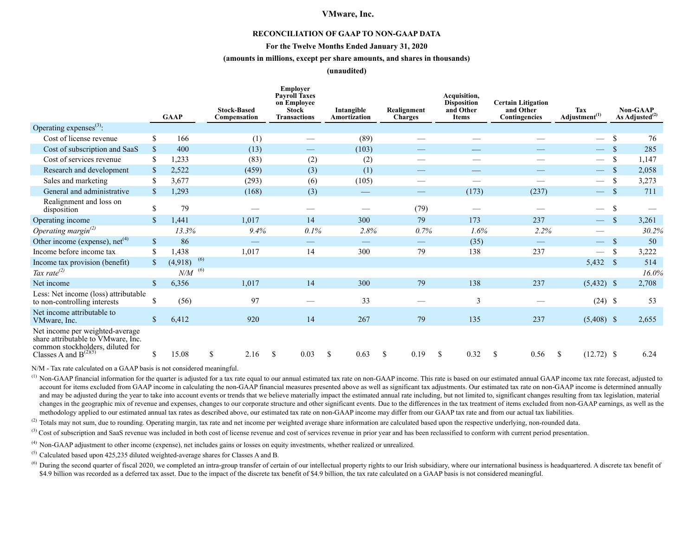#### **RECONCILIATION OF GAAP TO NON-GAAP DATA**

#### **For the Twelve Months Ended January 31, 2020**

#### **(amounts in millions, except per share amounts, and shares in thousands)**

**(unaudited)**

|                                                                                                                                         |               | <b>GAAP</b>    | <b>Stock-Based</b><br>Compensation | <b>Employer</b><br><b>Payroll Taxes</b><br>on Emplovee<br><b>Stock</b><br><b>Transactions</b> | Intangible<br>Amortization    | Realignment<br><b>Charges</b> | Acquisition,<br><b>Disposition</b><br>and Other<br><b>Items</b> | <b>Certain Litigation</b><br>and Other<br>Contingencies | Tax<br>Adjustment <sup>(1)</sup> |               | <b>Non-GAAP</b><br>As Adjusted <sup>(2)</sup> |
|-----------------------------------------------------------------------------------------------------------------------------------------|---------------|----------------|------------------------------------|-----------------------------------------------------------------------------------------------|-------------------------------|-------------------------------|-----------------------------------------------------------------|---------------------------------------------------------|----------------------------------|---------------|-----------------------------------------------|
| Operating expenses <sup>(3)</sup> :                                                                                                     |               |                |                                    |                                                                                               |                               |                               |                                                                 |                                                         |                                  |               |                                               |
| Cost of license revenue                                                                                                                 | S             | 166            | (1)                                |                                                                                               | (89)                          |                               |                                                                 |                                                         | $\overline{\phantom{m}}$         | -S            | 76                                            |
| Cost of subscription and SaaS                                                                                                           | <sup>\$</sup> | 400            | (13)                               | $\overline{\phantom{0}}$                                                                      | (103)                         |                               |                                                                 |                                                         |                                  |               | 285                                           |
| Cost of services revenue                                                                                                                | <sup>\$</sup> | 1,233          | (83)                               | (2)                                                                                           | (2)                           |                               |                                                                 | $\overbrace{\phantom{12332}}$                           | $\hspace{0.1mm}-\hspace{0.1mm}$  | <sup>\$</sup> | 1,147                                         |
| Research and development                                                                                                                | \$            | 2,522          | (459)                              | (3)                                                                                           | (1)                           |                               | $\qquad \qquad -$                                               |                                                         | $\hspace{0.05cm}$                |               | 2,058                                         |
| Sales and marketing                                                                                                                     | \$            | 3,677          | (293)                              | (6)                                                                                           | (105)                         |                               |                                                                 |                                                         | $\hspace{0.1mm}-\hspace{0.1mm}$  | <sup>\$</sup> | 3,273                                         |
| General and administrative                                                                                                              | $\mathbb{S}$  | 1,293          | (168)                              | (3)                                                                                           | $\hspace{0.05cm}$             | $\overline{\phantom{0}}$      | (173)                                                           | (237)                                                   | $\overline{\phantom{0}}$         | -\$           | 711                                           |
| Realignment and loss on<br>disposition                                                                                                  | $\mathbb{S}$  | 79             |                                    |                                                                                               |                               | (79)                          |                                                                 |                                                         | $\qquad \qquad$                  | <sup>\$</sup> |                                               |
| Operating income                                                                                                                        | <sup>\$</sup> | 1,441          | 1,017                              | 14                                                                                            | 300                           | 79                            | 173                                                             | 237                                                     | $\qquad \qquad -$                | $\mathcal{S}$ | 3,261                                         |
| Operating margin $^{(2)}$                                                                                                               |               | 13.3%          | 9.4%                               | 0.1%                                                                                          | 2.8%                          | 0.7%                          | 1.6%                                                            | 2.2%                                                    |                                  |               | 30.2%                                         |
| Other income (expense), $net(4)$                                                                                                        | $\mathcal{S}$ | 86             |                                    | $\overbrace{\phantom{12333}}$                                                                 | $\overbrace{\phantom{12333}}$ |                               | (35)                                                            |                                                         | $\overline{\phantom{m}}$         | -S            | 50                                            |
| Income before income tax                                                                                                                | <sup>\$</sup> | 1,438          | 1,017                              | 14                                                                                            | 300                           | 79                            | 138                                                             | 237                                                     |                                  | <sup>\$</sup> | 3,222                                         |
| Income tax provision (benefit)                                                                                                          | $\mathbf S$   | (6)<br>(4,918) |                                    |                                                                                               |                               |                               |                                                                 |                                                         | 5,432 \$                         |               | 514                                           |
| Tax rate $^{(2)}$                                                                                                                       |               | (6)<br>N/M     |                                    |                                                                                               |                               |                               |                                                                 |                                                         |                                  |               | 16.0%                                         |
| Net income                                                                                                                              | $\mathcal{S}$ | 6,356          | 1,017                              | 14                                                                                            | 300                           | 79                            | 138                                                             | 237                                                     | $(5,432)$ \$                     |               | 2,708                                         |
| Less: Net income (loss) attributable<br>to non-controlling interests                                                                    | S             | (56)           | 97                                 |                                                                                               | 33                            |                               | $\overline{3}$                                                  |                                                         | $(24)$ \$                        |               | 53                                            |
| Net income attributable to<br>VMware, Inc.                                                                                              | $\mathbf S$   | 6,412          | 920                                | 14                                                                                            | 267                           | 79                            | 135                                                             | 237                                                     | $(5,408)$ \$                     |               | 2,655                                         |
| Net income per weighted-average<br>share attributable to VMware, Inc.<br>common stockholders, diluted for<br>Classes A and $B^{(2)(5)}$ | S             | 15.08          | \$<br>2.16                         | <sup>\$</sup><br>0.03                                                                         | <sup>\$</sup><br>0.63         | 0.19<br><sup>\$</sup>         | <sup>\$</sup><br>0.32                                           | 0.56<br><sup>\$</sup>                                   | \$<br>$(12.72)$ \$               |               | 6.24                                          |

N/M - Tax rate calculated on a GAAP basis is not considered meaningful.

 $<sup>(1)</sup>$  Non-GAAP financial information for the quarter is adjusted for a tax rate equal to our annual estimated tax rate on non-GAAP income. This rate is based on our estimated annual GAAP income tax rate forecast, adju</sup> account for items excluded from GAAP income in calculating the non-GAAP financial measures presented above as well as significant tax adjustments. Our estimated tax rate on non-GAAP income is determined annually and may be adjusted during the year to take into account events or trends that we believe materially impact the estimated annual rate including, but not limited to, significant changes resulting from tax legislation, mater changes in the geographic mix of revenue and expenses, changes to our corporate structure and other significant events. Due to the differences in the tax treatment of items excluded from non-GAAP earnings, as well as the methodology applied to our estimated annual tax rates as described above, our estimated tax rate on non-GAAP income may differ from our GAAP tax rate and from our actual tax liabilities.

(2) Totals may not sum, due to rounding. Operating margin, tax rate and net income per weighted average share information are calculated based upon the respective underlying, non-rounded data.

<sup>(3)</sup> Cost of subscription and SaaS revenue was included in both cost of license revenue and cost of services revenue in prior year and has been reclassified to conform with current period presentation.

(4) Non-GAAP adjustment to other income (expense), net includes gains or losses on equity investments, whether realized or unrealized.

(5) Calculated based upon 425,235 diluted weighted-average shares for Classes A and B.

<sup>(6)</sup> During the second quarter of fiscal 2020, we completed an intra-group transfer of certain of our intellectual property rights to our Irish subsidiary, where our international business is headquartered. A discrete tax \$4.9 billion was recorded as a deferred tax asset. Due to the impact of the discrete tax benefit of \$4.9 billion, the tax rate calculated on a GAAP basis is not considered meaningful.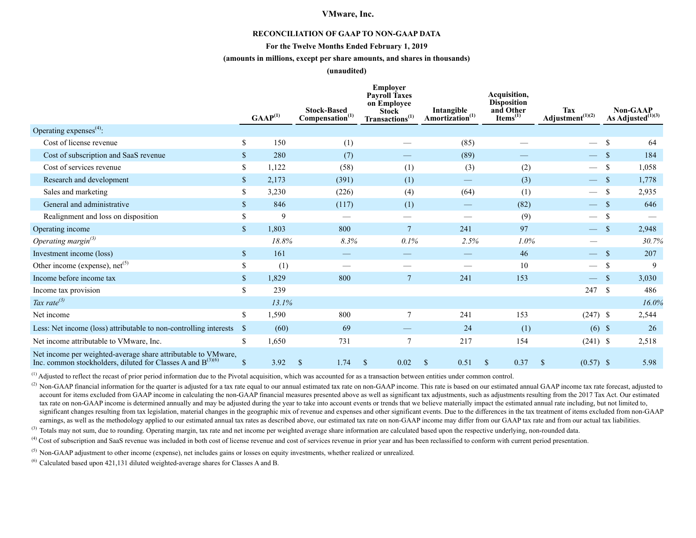#### **RECONCILIATION OF GAAP TO NON-GAAP DATA**

#### **For the Twelve Months Ended February 1, 2019**

#### **(amounts in millions, except per share amounts, and shares in thousands)**

#### **(unaudited)**

|                                                                                                                                   |              | $GAAP^{(1)}$ | <b>Stock-Based</b><br>Compensation <sup>(1)</sup> | <b>Employer</b><br><b>Payroll Taxes</b><br>on Employee<br><b>Stock</b><br>Transactions <sup>(1)</sup> | Intangible<br>Amortization <sup>(1)</sup> | Acquisition,<br><b>Disposition</b><br>and Other<br>$\mathbf{Items}^{(1)}$ | <b>Tax</b><br>Adjustment $(1)(2)$ | <b>Non-GAAP</b><br>As Adjusted $^{(1)(3)}$ |
|-----------------------------------------------------------------------------------------------------------------------------------|--------------|--------------|---------------------------------------------------|-------------------------------------------------------------------------------------------------------|-------------------------------------------|---------------------------------------------------------------------------|-----------------------------------|--------------------------------------------|
| Operating expenses $^{(4)}$ :                                                                                                     |              |              |                                                   |                                                                                                       |                                           |                                                                           |                                   |                                            |
| Cost of license revenue                                                                                                           | S            | 150          | (1)                                               |                                                                                                       | (85)                                      |                                                                           | $\overline{\phantom{0}}$          | \$<br>64                                   |
| Cost of subscription and SaaS revenue                                                                                             | \$           | 280          | (7)                                               |                                                                                                       | (89)                                      |                                                                           | $\overline{\phantom{a}}$          | 184<br>- \$                                |
| Cost of services revenue                                                                                                          | \$           | 1,122        | (58)                                              | (1)                                                                                                   | (3)                                       | (2)                                                                       | $\hspace{0.05cm}$                 | <sup>\$</sup><br>1,058                     |
| Research and development                                                                                                          | \$           | 2,173        | (391)                                             | (1)                                                                                                   |                                           | (3)                                                                       | $\hspace{0.1mm}-\hspace{0.1mm}$   | 1,778<br>-S                                |
| Sales and marketing                                                                                                               | \$           | 3,230        | (226)                                             | (4)                                                                                                   | (64)                                      | (1)                                                                       | $\overbrace{\phantom{13333}}$     | \$<br>2,935                                |
| General and administrative                                                                                                        | \$.          | 846          | (117)                                             | (1)                                                                                                   |                                           | (82)                                                                      | $\overline{\phantom{0}}$          | 646<br>-S                                  |
| Realignment and loss on disposition                                                                                               | \$           | 9            |                                                   |                                                                                                       |                                           | (9)                                                                       | $\hspace{0.05cm}$                 | <sup>\$</sup>                              |
| Operating income                                                                                                                  | $\mathbb{S}$ | 1,803        | 800                                               | $\tau$                                                                                                | 241                                       | 97                                                                        | $\overline{\phantom{m}}$          | $\mathbf{\mathcal{S}}$<br>2,948            |
| Operating margin $^{(3)}$                                                                                                         |              | 18.8%        | 8.3%                                              | 0.1%                                                                                                  | 2.5%                                      | 1.0%                                                                      |                                   | 30.7%                                      |
| Investment income (loss)                                                                                                          | $\mathbb{S}$ | 161          |                                                   |                                                                                                       |                                           | 46                                                                        | $\overline{\phantom{0}}$          | 207<br>-S                                  |
| Other income (expense), $net^{(5)}$                                                                                               | \$           | (1)          |                                                   |                                                                                                       |                                           | 10                                                                        |                                   | 9<br><sup>\$</sup>                         |
| Income before income tax                                                                                                          | \$.          | 1,829        | 800                                               |                                                                                                       | 241                                       | 153                                                                       | $\hspace{0.1mm}-\hspace{0.1mm}$   | $\mathcal{S}$<br>3,030                     |
| Income tax provision                                                                                                              | \$           | 239          |                                                   |                                                                                                       |                                           |                                                                           | 247                               | <sup>S</sup><br>486                        |
| Tax rate $^{(3)}$                                                                                                                 |              | 13.1%        |                                                   |                                                                                                       |                                           |                                                                           |                                   | 16.0%                                      |
| Net income                                                                                                                        | \$           | 1,590        | 800                                               | $\overline{7}$                                                                                        | 241                                       | 153                                                                       | $(247)$ \$                        | 2,544                                      |
| Less: Net income (loss) attributable to non-controlling interests                                                                 | <sup>S</sup> | (60)         | 69                                                |                                                                                                       | 24                                        | (1)                                                                       |                                   | $(6)$ \$<br>26                             |
| Net income attributable to VMware, Inc.                                                                                           | \$           | 1,650        | 731                                               | 7                                                                                                     | 217                                       | 154                                                                       | $(241)$ \$                        | 2,518                                      |
| Net income per weighted-average share attributable to VMware,<br>Inc. common stockholders, diluted for Classes A and $B^{(3)(6)}$ |              | 3.92         | $\mathbb{S}$<br>1.74                              | 0.02<br><sup>\$</sup>                                                                                 | 0.51<br><sup>\$</sup>                     | 0.37<br><sup>S</sup>                                                      | $(0.57)$ \$<br>S                  | 5.98                                       |

 $<sup>(1)</sup>$  Adjusted to reflect the recast of prior period information due to the Pivotal acquisition, which was accounted for as a transaction between entities under common control.</sup>

(2) Non-GAAP financial information for the quarter is adjusted for a tax rate equal to our annual estimated tax rate on non-GAAP income. This rate is based on our estimated annual GAAP income tax rate forecast, adjusted t account for items excluded from GAAP income in calculating the non-GAAP financial measures presented above as well as significant tax adjustments, such as adjustments resulting from the 2017 Tax Act. Our estimated tax rate on non-GAAP income is determined annually and may be adjusted during the year to take into account events or trends that we believe materially impact the estimated annual rate including, but not limited to, significant changes resulting from tax legislation, material changes in the geographic mix of revenue and expenses and other significant events. Due to the differences in the tax treatment of items excluded from non-GAAP earnings, as well as the methodology applied to our estimated annual tax rates as described above, our estimated tax rate on non-GAAP income may differ from our GAAP tax rate and from our actual tax liabilities.

<sup>(3)</sup> Totals may not sum, due to rounding. Operating margin, tax rate and net income per weighted average share information are calculated based upon the respective underlying, non-rounded data.

<sup>(4)</sup> Cost of subscription and SaaS revenue was included in both cost of license revenue and cost of services revenue in prior year and has been reclassified to conform with current period presentation.

 $<sup>(5)</sup>$  Non-GAAP adjustment to other income (expense), net includes gains or losses on equity investments, whether realized or unrealized.</sup>

(6) Calculated based upon 421,131 diluted weighted-average shares for Classes A and B.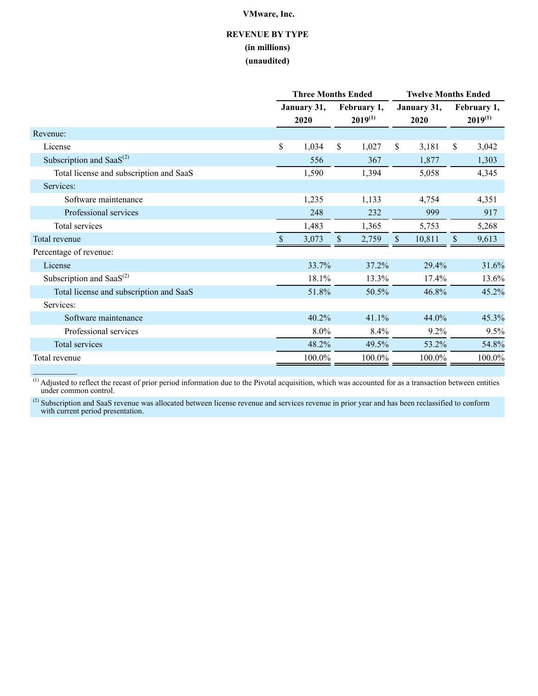# **REVENUE BY TYPE (in millions) (unaudited)**

|                                         |          | <b>Three Months Ended</b> |                             | <b>Twelve Months Ended</b> |                             |  |  |  |  |
|-----------------------------------------|----------|---------------------------|-----------------------------|----------------------------|-----------------------------|--|--|--|--|
|                                         |          | January 31,<br>2020       | February 1,<br>$2019^{(1)}$ | January 31,<br>2020        | February 1,<br>$2019^{(1)}$ |  |  |  |  |
| Revenue:                                |          |                           |                             |                            |                             |  |  |  |  |
| License                                 | \$       | 1,034                     | \$<br>1,027                 | \$<br>3,181                | $\mathbb{S}$<br>3,042       |  |  |  |  |
| Subscription and Saa $S^{(2)}$          |          | 556                       | 367                         | 1,877                      | 1,303                       |  |  |  |  |
| Total license and subscription and SaaS |          | 1,590                     | 1,394                       | 5,058                      | 4,345                       |  |  |  |  |
| Services:                               |          |                           |                             |                            |                             |  |  |  |  |
| Software maintenance                    |          | 1,235                     | 1,133                       | 4,754                      | 4,351                       |  |  |  |  |
| Professional services                   |          | 248                       | 232                         | 999                        | 917                         |  |  |  |  |
| Total services                          |          | 1,483                     | 1,365                       | 5,753                      | 5,268                       |  |  |  |  |
| Total revenue                           | <b>S</b> | 3,073                     | \$<br>2,759                 | $\sqrt{\ }$<br>10,811      | \$.<br>9,613                |  |  |  |  |
| Percentage of revenue:                  |          |                           |                             |                            |                             |  |  |  |  |
| License                                 |          | 33.7%                     | 37.2%                       | 29.4%                      | 31.6%                       |  |  |  |  |
| Subscription and Saa $S^{(2)}$          |          | 18.1%                     | 13.3%                       | 17.4%                      | 13.6%                       |  |  |  |  |
| Total license and subscription and SaaS |          | 51.8%                     | 50.5%                       | 46.8%                      | 45.2%                       |  |  |  |  |
| Services:                               |          |                           |                             |                            |                             |  |  |  |  |
| Software maintenance                    |          | 40.2%                     | 41.1%                       | 44.0%                      | 45.3%                       |  |  |  |  |
| Professional services                   |          | 8.0%                      | 8.4%                        | 9.2%                       | 9.5%                        |  |  |  |  |
| <b>Total services</b>                   |          | 48.2%                     | 49.5%                       | 53.2%                      | 54.8%                       |  |  |  |  |
| Total revenue                           |          | 100.0%                    | 100.0%                      | 100.0%                     | 100.0%                      |  |  |  |  |
|                                         |          |                           |                             |                            |                             |  |  |  |  |

 $<sup>(1)</sup>$  Adjusted to reflect the recast of prior period information due to the Pivotal acquisition, which was accounted for as a transaction between entities</sup> under common control.

 $^{(2)}$  Subscription and SaaS revenue was allocated between license revenue and services revenue in prior year and has been reclassified to conform with current period presentation.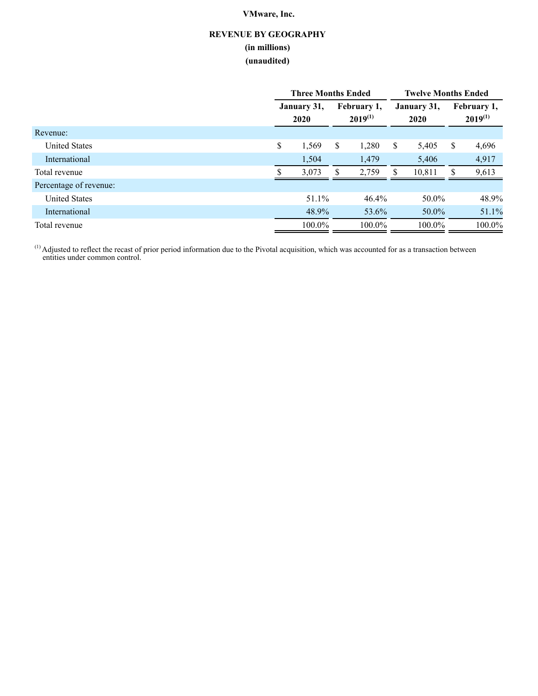# **REVENUE BY GEOGRAPHY (in millions) (unaudited)**

|                        | <b>Three Months Ended</b> |        |                             |        |                     | <b>Twelve Months Ended</b> |   |                             |  |
|------------------------|---------------------------|--------|-----------------------------|--------|---------------------|----------------------------|---|-----------------------------|--|
|                        | January 31,<br>2020       |        | February 1,<br>$2019^{(1)}$ |        | January 31,<br>2020 |                            |   | February 1,<br>$2019^{(1)}$ |  |
| Revenue:               |                           |        |                             |        |                     |                            |   |                             |  |
| <b>United States</b>   | \$                        | 1,569  | \$                          | 1,280  | S.                  | 5,405                      | S | 4,696                       |  |
| International          |                           | 1,504  |                             | 1,479  |                     | 5,406                      |   | 4,917                       |  |
| Total revenue          |                           | 3,073  |                             | 2,759  |                     | 10,811                     |   | 9,613                       |  |
| Percentage of revenue: |                           |        |                             |        |                     |                            |   |                             |  |
| <b>United States</b>   |                           | 51.1%  |                             | 46.4%  |                     | 50.0%                      |   | 48.9%                       |  |
| International          |                           | 48.9%  |                             | 53.6%  |                     | $50.0\%$                   |   | 51.1%                       |  |
| Total revenue          |                           | 100.0% |                             | 100.0% |                     | $100.0\%$                  |   | 100.0%                      |  |

 $<sup>(1)</sup>$  Adjusted to reflect the recast of prior period information due to the Pivotal acquisition, which was accounted for as a transaction between</sup> entities under common control.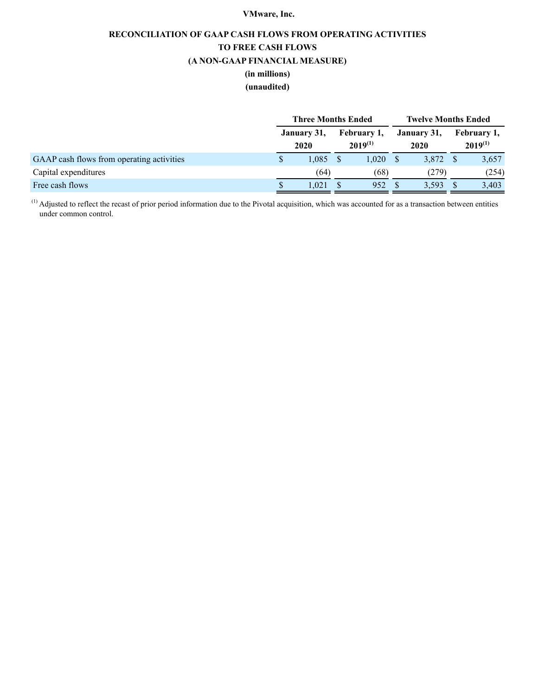# **RECONCILIATION OF GAAP CASH FLOWS FROM OPERATING ACTIVITIES TO FREE CASH FLOWS (A NON-GAAP FINANCIAL MEASURE) (in millions)**

## **(unaudited)**

|                                           | <b>Three Months Ended</b> |                     |  |                             |                     | <b>Twelve Months Ended</b> |  |                             |
|-------------------------------------------|---------------------------|---------------------|--|-----------------------------|---------------------|----------------------------|--|-----------------------------|
|                                           |                           | January 31,<br>2020 |  | February 1,<br>$2019^{(1)}$ | January 31,<br>2020 |                            |  | February 1,<br>$2019^{(1)}$ |
| GAAP cash flows from operating activities |                           | 1,085               |  | 1.020                       |                     | 3,872                      |  | 3,657                       |
| Capital expenditures                      |                           | (64)                |  | (68)                        |                     | (279)                      |  | (254)                       |
| Free cash flows                           |                           | 1.021               |  | 952                         |                     | 3.593                      |  | 3,403                       |

 $<sup>(1)</sup>$  Adjusted to reflect the recast of prior period information due to the Pivotal acquisition, which was accounted for as a transaction between entities</sup> under common control.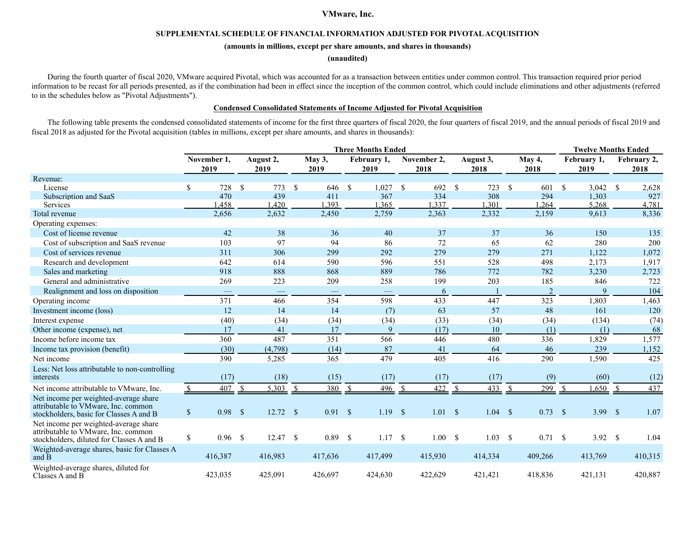#### **SUPPLEMENTAL SCHEDULE OF FINANCIAL INFORMATION ADJUSTED FOR PIVOTAL ACQUISITION**

#### **(amounts in millions, except per share amounts, and shares in thousands)**

#### **(unaudited)**

During the fourth quarter of fiscal 2020, VMware acquired Pivotal, which was accounted for as a transaction between entities under common control. This transaction required prior period information to be recast for all periods presented, as if the combination had been in effect since the inception of the common control, which could include eliminations and other adjustments (referred to in the schedules below as "Pivotal Adjustments").

### **Condensed Consolidated Statements of Income Adjusted for Pivotal Acquisition**

The following table presents the condensed consolidated statements of income for the first three quarters of fiscal 2020, the four quarters of fiscal 2019, and the annual periods of fiscal 2019 and fiscal 2018 as adjusted for the Pivotal acquisition (tables in millions, except per share amounts, and shares in thousands):

|                                                                                                                           | <b>Three Months Ended</b> |                     |               |                   |               |                |              |                     |  |                     |    | <b>Twelve Months Ended</b> |              |                 |    |                     |                     |
|---------------------------------------------------------------------------------------------------------------------------|---------------------------|---------------------|---------------|-------------------|---------------|----------------|--------------|---------------------|--|---------------------|----|----------------------------|--------------|-----------------|----|---------------------|---------------------|
|                                                                                                                           |                           | November 1,<br>2019 |               | August 2,<br>2019 |               | May 3,<br>2019 |              | February 1,<br>2019 |  | November 2,<br>2018 |    | August 3,<br>2018          |              | May 4,<br>2018  |    | February 1,<br>2019 | February 2,<br>2018 |
| Revenue:                                                                                                                  |                           |                     |               |                   |               |                |              |                     |  |                     |    |                            |              |                 |    |                     |                     |
| License                                                                                                                   | \$                        | 728                 | <sup>\$</sup> | 773               | <sup>\$</sup> | 646            | $\mathbf{s}$ | $1,027$ \$          |  | 692                 | -S | 723                        | - \$         | 601             | -S | $3,042$ \$          | 2,628               |
| Subscription and SaaS                                                                                                     |                           | 470                 |               | 439               |               | 411            |              | 367                 |  | 334                 |    | 308                        |              | 294             |    | 1,303               | 927                 |
| Services                                                                                                                  |                           | 1.458               |               | .420              |               | 1.393          |              | 1.365               |  | 1.337               |    | .301                       |              | 1.264           |    | 5.268               | 4.781               |
| Total revenue                                                                                                             |                           | 2,656               |               | 2,632             |               | 2,450          |              | 2,759               |  | 2,363               |    | 2,332                      |              | 2,159           |    | 9,613               | 8,336               |
| Operating expenses:                                                                                                       |                           |                     |               |                   |               |                |              |                     |  |                     |    |                            |              |                 |    |                     |                     |
| Cost of license revenue                                                                                                   |                           | 42                  |               | 38                |               | 36             |              | 40                  |  | 37                  |    | 37                         |              | 36              |    | 150                 | 135                 |
| Cost of subscription and SaaS revenue                                                                                     |                           | 103                 |               | 97                |               | 94             |              | 86                  |  | 72                  |    | 65                         |              | 62              |    | 280                 | 200                 |
| Cost of services revenue                                                                                                  |                           | 311                 |               | 306               |               | 299            |              | 292                 |  | 279                 |    | 279                        |              | 271             |    | 1,122               | 1,072               |
| Research and development                                                                                                  |                           | 642                 |               | 614               |               | 590            |              | 596                 |  | 551                 |    | 528                        |              | 498             |    | 2,173               | 1,917               |
| Sales and marketing                                                                                                       |                           | 918                 |               | 888               |               | 868            |              | 889                 |  | 786                 |    | 772                        |              | 782             |    | 3,230               | 2,723               |
| General and administrative                                                                                                |                           | 269                 |               | 223               |               | 209            |              | 258                 |  | 199                 |    | 203                        |              | 185             |    | 846                 | 722                 |
| Realignment and loss on disposition                                                                                       |                           |                     |               |                   |               |                |              |                     |  | 6                   |    |                            |              | $\overline{2}$  |    | 9                   | 104                 |
| Operating income                                                                                                          |                           | 371                 |               | 466               |               | 354            |              | 598                 |  | 433                 |    | 447                        |              | 323             |    | 1,803               | 1,463               |
| Investment income (loss)                                                                                                  |                           | 12                  |               | 14                |               | 14             |              | (7)                 |  | 63                  |    | 57                         |              | 48              |    | 161                 | 120                 |
| Interest expense                                                                                                          |                           | (40)                |               | (34)              |               | (34)           |              | (34)                |  | (33)                |    | (34)                       |              | (34)            |    | (134)               | (74)                |
| Other income (expense), net                                                                                               |                           | 17                  |               | 41                |               | 17             |              | 9                   |  | (17)                |    | 10                         |              | (1)             |    | (1)                 | 68                  |
| Income before income tax                                                                                                  |                           | 360                 |               | 487               |               | 351            |              | 566                 |  | 446                 |    | 480                        |              | 336             |    | 1,829               | 1,577               |
| Income tax provision (benefit)                                                                                            |                           | (30)                |               | (4,798)           |               | (14)           |              | 87                  |  | 41                  |    | 64                         |              | 46              |    | 239                 | 1,152               |
| Net income                                                                                                                |                           | 390                 |               | 5,285             |               | 365            |              | 479                 |  | 405                 |    | 416                        |              | 290             |    | 1,590               | 425                 |
| Less: Net loss attributable to non-controlling<br>interests                                                               |                           | (17)                |               | (18)              |               | (15)           |              | (17)                |  | (17)                |    | (17)                       |              | (9)             |    | (60)                | (12)                |
| Net income attributable to VMware, Inc.                                                                                   |                           | 407                 | $\mathcal{S}$ | 5.303             |               | 380            |              | 496                 |  | 422                 |    | 433                        |              | 299             | €  | .650                | 437                 |
| Net income per weighted-average share<br>attributable to VMware, Inc. common<br>stockholders, basic for Classes A and B   | $\$$                      | 0.98 <sup>5</sup>   |               | $12.72$ \$        |               | 0.91 S         |              | 1.19S               |  | $1.01 \quad$ \$     |    | 1.04                       | $\mathbf{s}$ | $0.73$ \$       |    | 3.99 $\frac{1}{2}$  | 1.07                |
| Net income per weighted-average share<br>attributable to VMware, Inc. common<br>stockholders, diluted for Classes A and B | \$                        | $0.96$ \$           |               | 12.47             | -\$           | 0.89           | - \$         | 1.17S               |  | $1.00 \t S$         |    | 1.03                       | <b>S</b>     | $0.71 \quad$ \$ |    | 3.92 $\sqrt{s}$     | 1.04                |
| Weighted-average shares, basic for Classes A<br>and B                                                                     |                           | 416,387             |               | 416,983           |               | 417,636        |              | 417,499             |  | 415,930             |    | 414,334                    |              | 409,266         |    | 413,769             | 410,315             |
| Weighted-average shares, diluted for<br>Classes A and B                                                                   |                           | 423,035             |               | 425,091           |               | 426,697        |              | 424,630             |  | 422,629             |    | 421,421                    |              | 418,836         |    | 421,131             | 420,887             |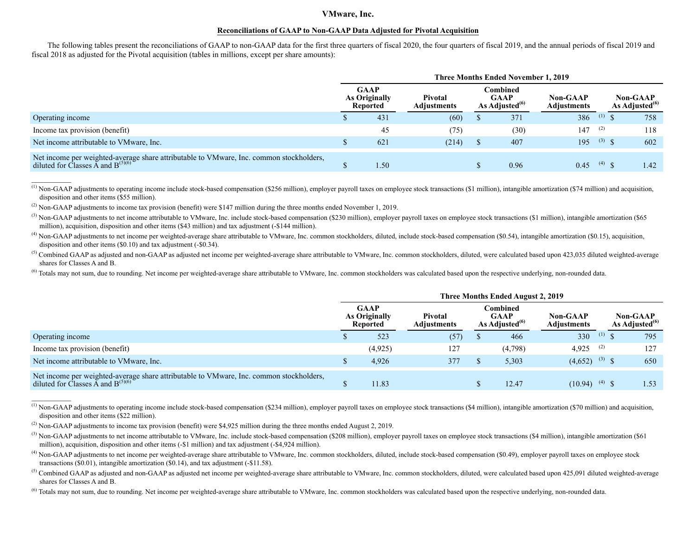#### **Reconciliations of GAAP to Non-GAAP Data Adjusted for Pivotal Acquisition**

The following tables present the reconciliations of GAAP to non-GAAP data for the first three quarters of fiscal 2020, the four quarters of fiscal 2019, and the annual periods of fiscal 2019 and fiscal 2018 as adjusted for the Pivotal acquisition (tables in millions, except per share amounts):

|                                                                                                                                                  | <b>Three Months Ended November 1, 2019</b> |                                                 |                               |  |                                              |                         |                |                                         |  |  |  |
|--------------------------------------------------------------------------------------------------------------------------------------------------|--------------------------------------------|-------------------------------------------------|-------------------------------|--|----------------------------------------------|-------------------------|----------------|-----------------------------------------|--|--|--|
|                                                                                                                                                  |                                            | <b>GAAP</b><br><b>As Originally</b><br>Reported | <b>Pivotal</b><br>Adiustments |  | Combined<br><b>GAAP</b><br>As Adjusted $(6)$ | Non-GAAP<br>Adjustments |                | <b>Non-GAAP</b><br>As Adjusted $^{(6)}$ |  |  |  |
| Operating income                                                                                                                                 |                                            | 431                                             | (60)                          |  | 371                                          | 386                     | (1)            | 758                                     |  |  |  |
| Income tax provision (benefit)                                                                                                                   |                                            | 45                                              | (75)                          |  | (30)                                         | 147                     | (2)            | 118                                     |  |  |  |
| Net income attributable to VMware, Inc.                                                                                                          |                                            | 621                                             | (214)                         |  | 407                                          | 195                     | $(3)$ $\zeta$  | 602                                     |  |  |  |
| Net income per weighted-average share attributable to VMware, Inc. common stockholders,<br>diluted for Classes $\bar{A}$ and B <sup>(5)(6)</sup> |                                            | 1.50                                            |                               |  | 0.96                                         | 0.45                    | $(4)$ $\infty$ | 1.42                                    |  |  |  |

(1) Non-GAAP adjustments to operating income include stock-based compensation (\$256 million), employer payroll taxes on employee stock transactions (\$1 million), intangible amortization (\$74 million) and acquisition, disposition and other items (\$55 million).

(2) Non-GAAP adjustments to income tax provision (benefit) were \$147 million during the three months ended November 1, 2019.

 $\overline{\phantom{a}}$ 

 $\frac{1}{2}$ 

<sup>(3)</sup> Non-GAAP adjustments to net income attributable to VMware, Inc. include stock-based compensation (\$230 million), employer payroll taxes on employee stock transactions (\$1 million), intangible amortization (\$65 million), acquisition, disposition and other items (\$43 million) and tax adjustment (-\$144 million).

 $^{(4)}$  Non-GAAP adjustments to net income per weighted-average share attributable to VMware, Inc. common stockholders, diluted, include stock-based compensation (\$0.54), intangible amortization (\$0.15), acquisition, disposition and other items (\$0.10) and tax adjustment (-\$0.34).

 $<sup>(5)</sup>$  Combined GAAP as adjusted and non-GAAP as adjusted net income per weighted-average share attributable to VMware, Inc. common stockholders, diluted, were calculated based upon 423,035 diluted weighted-average</sup> shares for Classes A and B.

<sup>(6)</sup> Totals may not sum, due to rounding. Net income per weighted-average share attributable to VMware, Inc. common stockholders was calculated based upon the respective underlying, non-rounded data.

|                                                                                                                                                       | Three Months Ended August 2, 2019               |         |                               |                                                 |         |                                |          |                                  |  |  |  |  |
|-------------------------------------------------------------------------------------------------------------------------------------------------------|-------------------------------------------------|---------|-------------------------------|-------------------------------------------------|---------|--------------------------------|----------|----------------------------------|--|--|--|--|
|                                                                                                                                                       | <b>GAAP</b><br><b>As Originally</b><br>Reported |         | Pivotal<br><b>Adjustments</b> | Combined<br><b>GAAP</b><br>As Adjusted $^{(6)}$ |         | Non-GAAP<br><b>Adjustments</b> |          | Non-GAAP<br>As Adjusted $^{(6)}$ |  |  |  |  |
| Operating income                                                                                                                                      |                                                 | 523     | (57)                          |                                                 | 466     | 330                            | $(1)$ \$ | 795                              |  |  |  |  |
| Income tax provision (benefit)                                                                                                                        |                                                 | (4.925) | 127                           |                                                 | (4,798) | 4,925 <sup>(2)</sup>           |          | 127                              |  |  |  |  |
| Net income attributable to VMware, Inc.                                                                                                               |                                                 | 4,926   | 377                           |                                                 | 5,303   | $(4,652)$ <sup>(3)</sup> \$    |          | 650                              |  |  |  |  |
| Net income per weighted-average share attributable to VMware, Inc. common stockholders,<br>diluted for Classes $\overline{A}$ and B <sup>(5)(6)</sup> |                                                 | 1.83    |                               |                                                 | 12.47   | $(10.94)$ <sup>(4)</sup> \$    |          | 1.53                             |  |  |  |  |

<sup>(1)</sup> Non-GAAP adjustments to operating income include stock-based compensation (\$234 million), employer payroll taxes on employee stock transactions (\$4 million), intangible amortization (\$70 million) and acquisition, disposition and other items (\$22 million).

 $^{(4)}$  Non-GAAP adjustments to net income per weighted-average share attributable to VMware. Inc. common stockholders, diluted, include stock-based compensation (\$0.49), employer payroll taxes on employee stock transactions (\$0.01), intangible amortization (\$0.14), and tax adjustment (-\$11.58).

 $<sup>(5)</sup>$  Combined GAAP as adjusted and non-GAAP as adjusted net income per weighted-average share attributable to VMware. Inc. common stockholders, diluted, were calculated based upon 425,091 diluted weighted-average</sup> shares for Classes A and B.

<sup>(6)</sup> Totals may not sum, due to rounding. Net income per weighted-average share attributable to VMware, Inc. common stockholders was calculated based upon the respective underlying, non-rounded data.

<sup>(2)</sup> Non-GAAP adjustments to income tax provision (benefit) were \$4,925 million during the three months ended August 2, 2019.

<sup>(3)</sup> Non-GAAP adjustments to net income attributable to VMware, Inc. include stock-based compensation (\$208 million), employer payroll taxes on employee stock transactions (\$4 million), intangible amortization (\$61) million), acquisition, disposition and other items (-\$1 million) and tax adjustment (-\$4,924 million).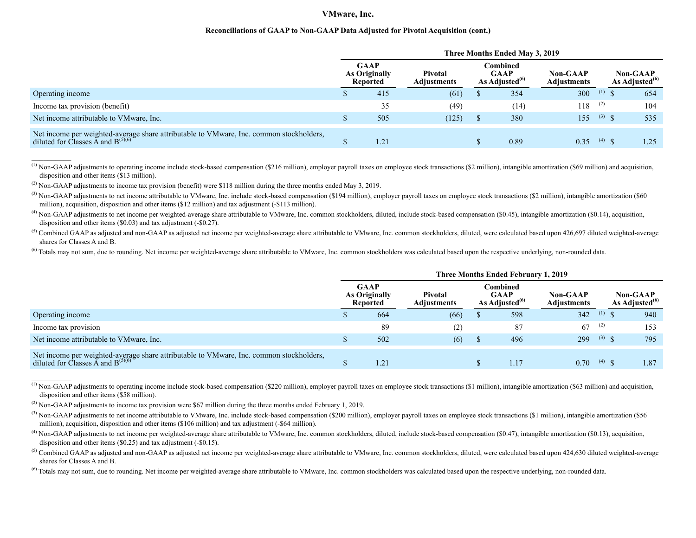#### **Reconciliations of GAAP to Non-GAAP Data Adjusted for Pivotal Acquisition (cont.)**

|                                                                                                                                                    | Three Months Ended May 3, 2019 |                                                 |                        |                                                       |      |                                |          |                                  |  |  |  |  |
|----------------------------------------------------------------------------------------------------------------------------------------------------|--------------------------------|-------------------------------------------------|------------------------|-------------------------------------------------------|------|--------------------------------|----------|----------------------------------|--|--|--|--|
|                                                                                                                                                    |                                | <b>GAAP</b><br><b>As Originally</b><br>Reported | Pivotal<br>Adjustments | Combined<br><b>GAAP</b><br>As Adjusted <sup>(b)</sup> |      | Non-GAAP<br><b>Adjustments</b> |          | Non-GAAP<br>As Adjusted $^{(6)}$ |  |  |  |  |
| Operating income                                                                                                                                   |                                | 415                                             | (61)                   |                                                       | 354  | 300                            | $(1)$ \$ | 654                              |  |  |  |  |
| Income tax provision (benefit)                                                                                                                     |                                | 35                                              | (49)                   |                                                       | (14) | 118                            | (2)      | 104                              |  |  |  |  |
| Net income attributable to VMware, Inc.                                                                                                            |                                | 505                                             | (125)                  |                                                       | 380  | 155                            | $(3)$ \$ | 535                              |  |  |  |  |
| Net income per weighted-average share attributable to VMware, Inc. common stockholders,<br>diluted for Classes $\tilde{A}$ and B <sup>(5)(6)</sup> |                                | 1.21                                            |                        |                                                       | 0.89 | 0.35                           | $(4)$ \$ | $-25$                            |  |  |  |  |

 $^{(1)}$  Non-GAAP adjustments to operating income include stock-based compensation (\$216 million), employer payroll taxes on employee stock transactions (\$2 million), intangible amortization (\$69 million) and acquisition, disposition and other items (\$13 million).

(2) Non-GAAP adjustments to income tax provision (benefit) were \$118 million during the three months ended May 3, 2019.

 $\frac{1}{2}$ 

 $\frac{1}{2}$ 

 $^{(3)}$  Non-GAAP adjustments to net income attributable to VMware. Inc. include stock-based compensation (\$194 million), employer payroll taxes on employee stock transactions (\$2 million), intangible amortization (\$60) million), acquisition, disposition and other items (\$12 million) and tax adjustment (-\$113 million).

 $^{(4)}$  Non-GAAP adjustments to net income per weighted-average share attributable to VMware, Inc. common stockholders, diluted, include stock-based compensation (\$0.45), intangible amortization (\$0.14), acquisition, disposition and other items (\$0.03) and tax adjustment (-\$0.27).

<sup>(5)</sup> Combined GAAP as adjusted and non-GAAP as adjusted net income per weighted-average share attributable to VMware, Inc. common stockholders, diluted, were calculated based upon 426,697 diluted weighted-average shares for Classes A and B.

<sup>(6)</sup> Totals may not sum, due to rounding. Net income per weighted-average share attributable to VMware. Inc. common stockholders was calculated based upon the respective underlying, non-rounded data.

|                                                                                                                                                    | Three Months Ended February 1, 2019 |                                                 |                        |  |                                              |                                |                    |                                         |  |  |  |  |
|----------------------------------------------------------------------------------------------------------------------------------------------------|-------------------------------------|-------------------------------------------------|------------------------|--|----------------------------------------------|--------------------------------|--------------------|-----------------------------------------|--|--|--|--|
|                                                                                                                                                    |                                     | <b>GAAP</b><br><b>As Originally</b><br>Reported | Pivotal<br>Adjustments |  | Combined<br><b>GAAP</b><br>As Adjusted $(6)$ | <b>Non-GAAP</b><br>Adjustments |                    | <b>Non-GAAP</b><br>As Adjusted $^{(6)}$ |  |  |  |  |
| Operating income                                                                                                                                   |                                     | 664                                             | (66)                   |  | 598                                          | 342                            | $(1)$ \$           | 940                                     |  |  |  |  |
| Income tax provision                                                                                                                               |                                     | 89                                              | (2)                    |  | 87                                           | 67                             | $^{(2)}$           | 153                                     |  |  |  |  |
| Net income attributable to VMware, Inc.                                                                                                            |                                     | 502                                             | (6)                    |  | 496                                          | 299                            | $(3)$ $\infty$     | 795                                     |  |  |  |  |
| Net income per weighted-average share attributable to VMware, Inc. common stockholders,<br>diluted for Classes $\tilde{A}$ and B <sup>(5)(6)</sup> |                                     | 1.21                                            |                        |  |                                              | 0.70                           | $(4)$ $\mathbb{Q}$ | 1.87                                    |  |  |  |  |

 $^{(1)}$  Non-GAAP adjustments to operating income include stock-based compensation (\$220 million), employer payroll taxes on employee stock transactions (\$1 million), intangible amortization (\$63 million) and acquisition, disposition and other items (\$58 million).

(2) Non-GAAP adjustments to income tax provision were \$67 million during the three months ended February 1, 2019.

<sup>(3)</sup> Non-GAAP adjustments to net income attributable to VMware, Inc. include stock-based compensation (\$200 million), employer payroll taxes on employee stock transactions (\$1 million), intangible amortization (\$56 million), acquisition, disposition and other items (\$106 million) and tax adjustment (-\$64 million).

 $^{(4)}$  Non-GAAP adjustments to net income per weighted-average share attributable to VMware, Inc. common stockholders, diluted, include stock-based compensation (\$0.47), intangible amortization (\$0.13), acquisition, disposition and other items (\$0.25) and tax adjustment (-\$0.15).

<sup>(5)</sup> Combined GAAP as adjusted and non-GAAP as adjusted net income per weighted-average share attributable to VMware, Inc. common stockholders, diluted, were calculated based upon 424,630 diluted weighted-average shares for Classes A and B.

<sup>(6)</sup> Totals may not sum, due to rounding. Net income per weighted-average share attributable to VMware, Inc. common stockholders was calculated based upon the respective underlying, non-rounded data.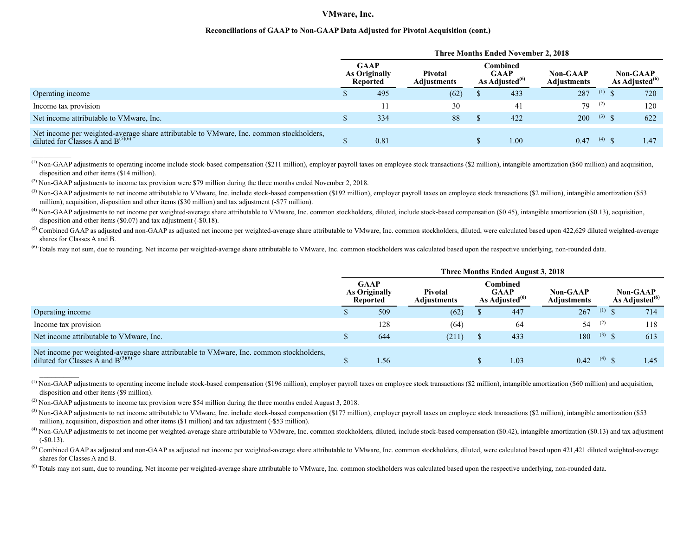#### **Reconciliations of GAAP to Non-GAAP Data Adjusted for Pivotal Acquisition (cont.)**

|                                                                                                                                                    | <b>Three Months Ended November 2, 2018</b> |                                          |                        |                                                 |      |                                |                    |                                         |  |  |  |  |
|----------------------------------------------------------------------------------------------------------------------------------------------------|--------------------------------------------|------------------------------------------|------------------------|-------------------------------------------------|------|--------------------------------|--------------------|-----------------------------------------|--|--|--|--|
|                                                                                                                                                    |                                            | <b>GAAP</b><br>As Originally<br>Reported | Pivotal<br>Adjustments | Combined<br><b>GAAP</b><br>As Adjusted $^{(6)}$ |      | <b>Non-GAAP</b><br>Adjustments |                    | <b>Non-GAAP</b><br>As Adjusted $^{(6)}$ |  |  |  |  |
| Operating income                                                                                                                                   |                                            | 495                                      | (62)                   |                                                 | 433  | 287                            | (1)                | 720                                     |  |  |  |  |
| Income tax provision                                                                                                                               |                                            |                                          | 30                     |                                                 | 41   | 79                             | (2)                | 120                                     |  |  |  |  |
| Net income attributable to VMware, Inc.                                                                                                            |                                            | 334                                      | 88                     |                                                 | 422  | 200                            | $(3)$ \$           | 622                                     |  |  |  |  |
| Net income per weighted-average share attributable to VMware, Inc. common stockholders,<br>diluted for Classes $\tilde{A}$ and B <sup>(5)(6)</sup> |                                            | 0.81                                     |                        |                                                 | 1.00 | 0.47                           | $(4)$ $\mathbb{Q}$ | 1.47                                    |  |  |  |  |

<sup>(1)</sup> Non-GAAP adjustments to operating income include stock-based compensation (\$211 million), employer payroll taxes on employee stock transactions (\$2 million), intangible amortization (\$60 million) and acquisition, disposition and other items (\$14 million).

 $^{(2)}$  Non-GAAP adjustments to income tax provision were \$79 million during the three months ended November 2, 2018.

 $\frac{1}{2}$ 

 $\frac{1}{2}$ 

 $^{(3)}$  Non-GAAP adjustments to net income attributable to VMware. Inc. include stock-based compensation (\$192 million), employer payroll taxes on employee stock transactions (\$2 million), intangible amortization (\$53) million), acquisition, disposition and other items (\$30 million) and tax adjustment (-\$77 million).

 $^{(4)}$  Non-GAAP adjustments to net income per weighted-average share attributable to VMware. Inc. common stockholders, diluted, include stock-based compensation (\$0.45), intangible amortization (\$0.13), acquisition, disposition and other items (\$0.07) and tax adjustment (-\$0.18).

 $<sup>(5)</sup>$  Combined GAAP as adjusted and non-GAAP as adjusted net income per weighted-average share attributable to VMware, Inc. common stockholders, diluted, were calculated based upon 422,629 diluted weighted-average</sup> shares for Classes A and B.

<sup>(6)</sup> Totals may not sum, due to rounding. Net income per weighted-average share attributable to VMware. Inc. common stockholders was calculated based upon the respective underlying, non-rounded data.

|                                                                                                                                   | Three Months Ended August 3, 2018 |                                                        |                        |  |                                                 |                                       |                |                                  |  |  |  |  |
|-----------------------------------------------------------------------------------------------------------------------------------|-----------------------------------|--------------------------------------------------------|------------------------|--|-------------------------------------------------|---------------------------------------|----------------|----------------------------------|--|--|--|--|
|                                                                                                                                   |                                   | <b>GAAP</b><br><b>As Originally</b><br><b>Reported</b> | Pivotal<br>Adjustments |  | Combined<br><b>GAAP</b><br>As Adjusted $^{(6)}$ | <b>Non-GAAP</b><br><b>Adjustments</b> |                | Non-GAAP<br>As Adjusted $^{(6)}$ |  |  |  |  |
| Operating income                                                                                                                  |                                   | 509                                                    | (62)                   |  | 447                                             | 267                                   | (1)            | 714                              |  |  |  |  |
| Income tax provision                                                                                                              |                                   | 128                                                    | (64)                   |  | 64                                              | 54                                    | (2)            | 118                              |  |  |  |  |
| Net income attributable to VMware, Inc.                                                                                           |                                   | 644                                                    | (211)                  |  | 433                                             | 180                                   | $(3)$ $\zeta$  | 613                              |  |  |  |  |
| Net income per weighted-average share attributable to VMware, Inc. common stockholders,<br>diluted for Classes A and $B^{(5)(6)}$ |                                   | 1.56                                                   |                        |  | 1.03                                            | 0.42                                  | $(4)$ $\infty$ | 1.45                             |  |  |  |  |

 $^{(1)}$  Non-GAAP adjustments to operating income include stock-based compensation (\$196 million), employer payroll taxes on employee stock transactions (\$2 million), intangible amortization (\$60 million) and acquisition, disposition and other items (\$9 million).

<sup>(2)</sup> Non-GAAP adjustments to income tax provision were \$54 million during the three months ended August 3, 2018.

(3) Non-GAAP adjustments to net income attributable to VMware, Inc. include stock-based compensation (\$177 million), employer payroll taxes on employee stock transactions (\$2 million), intangible amortization (\$53) million), acquisition, disposition and other items (\$1 million) and tax adjustment (-\$53 million).

 $^{(4)}$  Non-GAAP adjustments to net income per weighted-average share attributable to VMware. Inc. common stockholders, diluted, include stock-based compensation (\$0.42), intangible amortization (\$0.13) and tax adjustment (-\$0.13).

 $<sup>(5)</sup>$  Combined GAAP as adjusted and non-GAAP as adjusted net income per weighted-average share attributable to VMware, Inc. common stockholders, diluted, were calculated based upon 421,421 diluted weighted-average</sup> shares for Classes A and B.

 $^{(6)}$  Totals may not sum, due to rounding. Net income per weighted-average share attributable to VMware, Inc. common stockholders was calculated based upon the respective underlying, non-rounded data.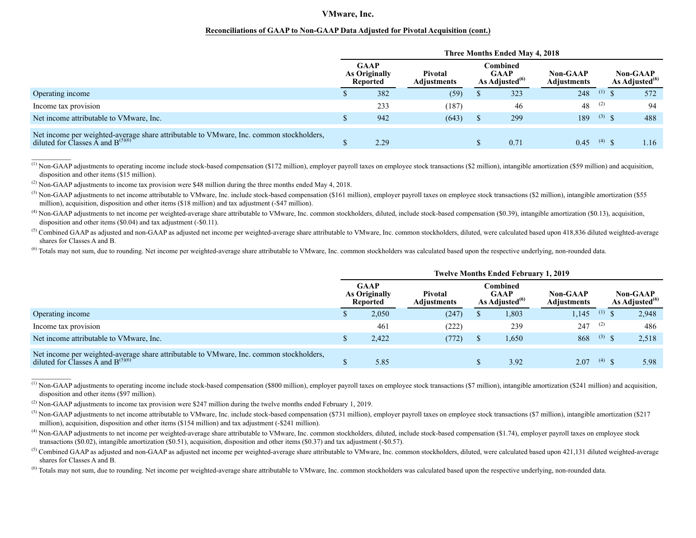#### **Reconciliations of GAAP to Non-GAAP Data Adjusted for Pivotal Acquisition (cont.)**

|                                                                                                                                   | Three Months Ended May 4, 2018 |                                          |                               |                                                       |      |                                |                |                                         |  |  |  |  |
|-----------------------------------------------------------------------------------------------------------------------------------|--------------------------------|------------------------------------------|-------------------------------|-------------------------------------------------------|------|--------------------------------|----------------|-----------------------------------------|--|--|--|--|
|                                                                                                                                   |                                | <b>GAAP</b><br>As Originally<br>Reported | <b>Pivotal</b><br>Adiustments | Combined<br><b>GAAP</b><br>As Adjusted <sup>(0)</sup> |      | <b>Non-GAAP</b><br>Adjustments |                | <b>Non-GAAP</b><br>As Adjusted $^{(6)}$ |  |  |  |  |
| Operating income                                                                                                                  |                                | 382                                      | (59)                          |                                                       | 323  | 248                            | (1)            | 572                                     |  |  |  |  |
| Income tax provision                                                                                                              |                                | 233                                      | (187)                         |                                                       | 46   | 48                             | (2)            | 94                                      |  |  |  |  |
| Net income attributable to VMware, Inc.                                                                                           |                                | 942                                      | (643)                         |                                                       | 299  | 189                            | $(3)$ \$       | 488                                     |  |  |  |  |
| Net income per weighted-average share attributable to VMware, Inc. common stockholders,<br>diluted for Classes A and $B^{(5)(6)}$ |                                | 2.29                                     |                               |                                                       | 0.71 | 0.45                           | $(4)$ $\infty$ | 1.16                                    |  |  |  |  |

 $^{(1)}$  Non-GAAP adjustments to operating income include stock-based compensation (\$172 million), employer payroll taxes on employee stock transactions (\$2 million), intangible amortization (\$59 million) and acquisition, disposition and other items (\$15 million).

 $^{(2)}$  Non-GAAP adjustments to income tax provision were \$48 million during the three months ended May 4, 2018.

<sup>(3)</sup> Non-GAAP adjustments to net income attributable to VMware, Inc. include stock-based compensation (\$161 million), employer payroll taxes on employee stock transactions (\$2 million), intangible amortization (\$55 million), acquisition, disposition and other items (\$18 million) and tax adjustment (-\$47 million).

(4) Non-GAAP adjustments to net income per weighted-average share attributable to VMware, Inc. common stockholders, diluted, include stock-based compensation (\$0.39), intangible amortization (\$0.13), acquisition, disposition and other items (\$0.04) and tax adjustment (-\$0.11).

 $<sup>(5)</sup>$  Combined GAAP as adjusted and non-GAAP as adjusted net income per weighted-average share attributable to VMware, Inc. common stockholders, diluted, were calculated based upon 418,836 diluted weighted-average</sup> shares for Classes A and B.

<sup>(6)</sup> Totals may not sum, due to rounding. Net income per weighted-average share attributable to VMware, Inc. common stockholders was calculated based upon the respective underlying, non-rounded data.

|                                                                                                                                                    | <b>Twelve Months Ended February 1, 2019</b> |                                                 |                               |                                                        |       |                                |              |                                         |  |  |  |  |
|----------------------------------------------------------------------------------------------------------------------------------------------------|---------------------------------------------|-------------------------------------------------|-------------------------------|--------------------------------------------------------|-------|--------------------------------|--------------|-----------------------------------------|--|--|--|--|
|                                                                                                                                                    |                                             | <b>GAAP</b><br><b>As Originally</b><br>Reported | <b>Pivotal</b><br>Adjustments | <b>∃ombined</b><br><b>GAAP</b><br>As Adjusted $^{(6)}$ |       | Non-GAAP<br><b>Adjustments</b> |              | <b>Non-GAAP</b><br>As Adjusted $^{(6)}$ |  |  |  |  |
| Operating income                                                                                                                                   |                                             | 2,050                                           | (247)                         |                                                        | 1,803 | 145                            | $(1)$ \$     | 2,948                                   |  |  |  |  |
| Income tax provision                                                                                                                               |                                             | 461                                             | (222)                         |                                                        | 239   | 247                            | (2)          | 486                                     |  |  |  |  |
| Net income attributable to VMware, Inc.                                                                                                            |                                             | 2.422                                           | (772)                         |                                                        | 1,650 | 868                            | $(3)$ \$     | 2,518                                   |  |  |  |  |
| Net income per weighted-average share attributable to VMware, Inc. common stockholders,<br>diluted for Classes $\tilde{A}$ and B <sup>(5)(6)</sup> |                                             | 5.85                                            |                               |                                                        | 3.92  | 2.07                           | $(4)$ $\phi$ | 5.98                                    |  |  |  |  |

<sup>(1)</sup> Non-GAAP adjustments to operating income include stock-based compensation (\$800 million), employer payroll taxes on employee stock transactions (\$7 million), intangible amortization (\$241 million) and acquisition, disposition and other items (\$97 million).

(2) Non-GAAP adjustments to income tax provision were \$247 million during the twelve months ended February 1, 2019.

<sup>(6)</sup> Totals may not sum, due to rounding. Net income per weighted-average share attributable to VMware, Inc. common stockholders was calculated based upon the respective underlying, non-rounded data.

<sup>&</sup>lt;sup>(3)</sup> Non-GAAP adjustments to net income attributable to VMware, Inc. include stock-based compensation (\$731 million), employer payroll taxes on employee stock transactions (\$7 million), intangible amortization (\$217 million), acquisition, disposition and other items (\$154 million) and tax adjustment (-\$241 million).

<sup>&</sup>lt;sup>(4)</sup> Non-GAAP adjustments to net income per weighted-average share attributable to VMware, Inc. common stockholders, diluted, include stock-based compensation (\$1.74), employer payroll taxes on employee stock transactions (\$0.02), intangible amortization (\$0.51), acquisition, disposition and other items (\$0.37) and tax adjustment (-\$0.57).

 $<sup>(5)</sup>$  Combined GAAP as adjusted and non-GAAP as adjusted net income per weighted-average share attributable to VMware, Inc. common stockholders, diluted, were calculated based upon 421,131 diluted weighted-average</sup> shares for Classes A and B.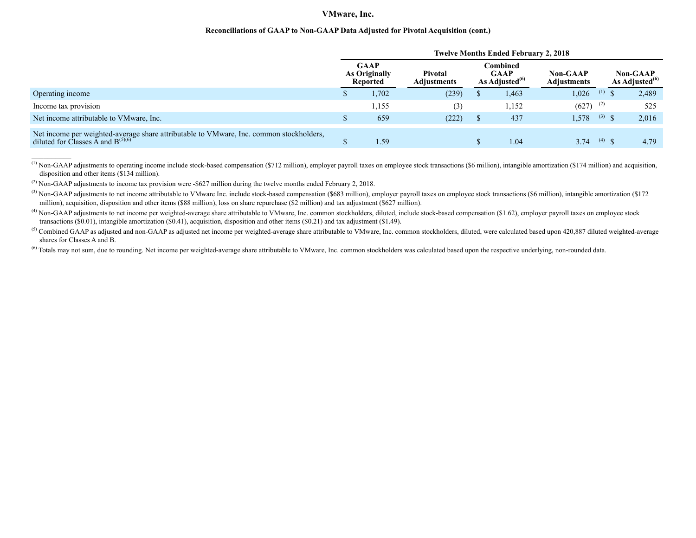#### **Reconciliations of GAAP to Non-GAAP Data Adjusted for Pivotal Acquisition (cont.)**

|                                                                                                                                                    |  | <b>Twelve Months Ended February 2, 2018</b> |                               |                                                       |                                |                |                                         |
|----------------------------------------------------------------------------------------------------------------------------------------------------|--|---------------------------------------------|-------------------------------|-------------------------------------------------------|--------------------------------|----------------|-----------------------------------------|
|                                                                                                                                                    |  | <b>GAAP</b><br>As Originally<br>Reported    | Pivotal<br><b>Adiustments</b> | Combined<br><b>GAAP</b><br>As Adiusted <sup>(6)</sup> | <b>Non-GAAP</b><br>Adiustments |                | <b>Non-GAAP</b><br>As Adjusted $^{(6)}$ |
| Operating income                                                                                                                                   |  | 1,702                                       | (239)                         | 1,463                                                 | 1,026                          | $(1)$ \$       | 2,489                                   |
| Income tax provision                                                                                                                               |  | .155                                        | (3)                           | 1,152                                                 | $(627)$ <sup>(2)</sup>         |                | 525                                     |
| Net income attributable to VMware, Inc.                                                                                                            |  | 659                                         | (222)                         | 437                                                   | 1,578                          | $(3)$ \$       | 2,016                                   |
| Net income per weighted-average share attributable to VMware, Inc. common stockholders,<br>diluted for Classes $\tilde{A}$ and B <sup>(5)(6)</sup> |  | 1.59                                        |                               | 1.04                                                  | 3.74                           | $(4)$ $\infty$ | 4.79                                    |

<sup>(1)</sup> Non-GAAP adjustments to operating income include stock-based compensation (\$712 million), employer payroll taxes on employee stock transactions (\$6 million), intangible amortization (\$174 million) and acquisition, disposition and other items (\$134 million).

 $(2)$  Non-GAAP adjustments to income tax provision were -\$627 million during the twelve months ended February 2, 2018.

 $\overline{\phantom{a}}$ 

<sup>(3)</sup> Non-GAAP adjustments to net income attributable to VMware Inc. include stock-based compensation (\$683 million), employer payroll taxes on employee stock transactions (\$6 million), intangible amortization (\$172) million), acquisition, disposition and other items (\$88 million), loss on share repurchase (\$2 million) and tax adjustment (\$627 million).

<sup>(4)</sup> Non-GAAP adjustments to net income per weighted-average share attributable to VMware, Inc. common stockholders, diluted, include stock-based compensation (\$1.62), employer payroll taxes on employee stock transactions (\$0.01), intangible amortization (\$0.41), acquisition, disposition and other items (\$0.21) and tax adjustment (\$1.49).

 $<sup>(5)</sup>$  Combined GAAP as adjusted and non-GAAP as adjusted net income per weighted-average share attributable to VMware, Inc. common stockholders, diluted, were calculated based upon 420,887 diluted weighted-average</sup> shares for Classes A and B.

<sup>(6)</sup> Totals may not sum, due to rounding. Net income per weighted-average share attributable to VMware, Inc. common stockholders was calculated based upon the respective underlying, non-rounded data.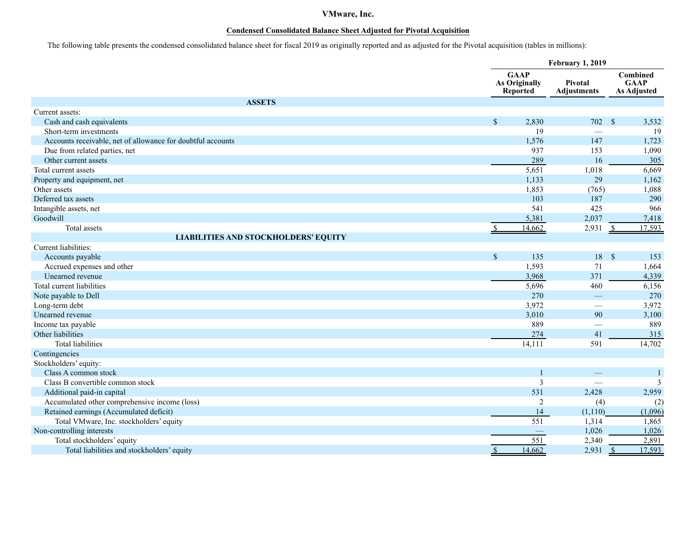## **Condensed Consolidated Balance Sheet Adjusted for Pivotal Acquisition**

The following table presents the condensed consolidated balance sheet for fiscal 2019 as originally reported and as adjusted for the Pivotal acquisition (tables in millions):

|                                                             |               | <b>February 1, 2019</b>                         |                               |                                               |  |
|-------------------------------------------------------------|---------------|-------------------------------------------------|-------------------------------|-----------------------------------------------|--|
|                                                             |               | <b>GAAP</b><br>As Originally<br><b>Reported</b> | Pivotal<br><b>Adjustments</b> | Combined<br><b>GAAP</b><br><b>As Adjusted</b> |  |
| <b>ASSETS</b>                                               |               |                                                 |                               |                                               |  |
| Current assets:                                             |               |                                                 |                               |                                               |  |
| Cash and cash equivalents                                   | $\mathbb{S}$  | 2,830                                           | 702 \$                        | 3,532                                         |  |
| Short-term investments                                      |               | 19                                              |                               | 19                                            |  |
| Accounts receivable, net of allowance for doubtful accounts |               | 1,576                                           | 147                           | 1,723                                         |  |
| Due from related parties, net                               |               | 937                                             | 153                           | 1,090                                         |  |
| Other current assets                                        |               | 289                                             | 16                            | 305                                           |  |
| Total current assets                                        |               | 5,651                                           | 1,018                         | 6,669                                         |  |
| Property and equipment, net                                 |               | 1,133                                           | 29                            | 1,162                                         |  |
| Other assets                                                |               | 1,853                                           | (765)                         | 1,088                                         |  |
| Deferred tax assets                                         |               | 103                                             | 187                           | 290                                           |  |
| Intangible assets, net                                      |               | 541                                             | 425                           | 966                                           |  |
| Goodwill                                                    |               | 5,381                                           | 2,037                         | 7,418                                         |  |
| Total assets                                                |               | 14,662                                          | 2,931                         | 17.593<br>$\mathcal{S}$                       |  |
| <b>LIABILITIES AND STOCKHOLDERS' EQUITY</b>                 |               |                                                 |                               |                                               |  |
| Current liabilities:                                        |               |                                                 |                               |                                               |  |
| Accounts payable                                            | $\mathsf{\$}$ | 135                                             | 18 \$                         | 153                                           |  |
| Accrued expenses and other                                  |               | 1,593                                           | 71                            | 1,664                                         |  |
| Unearned revenue                                            |               | 3,968                                           | 371                           | 4,339                                         |  |
| Total current liabilities                                   |               | 5,696                                           | 460                           | 6,156                                         |  |
| Note payable to Dell                                        |               | 270                                             | $\overline{\phantom{m}}$      | 270                                           |  |
| Long-term debt                                              |               | 3,972                                           |                               | 3,972                                         |  |
| Unearned revenue                                            |               | 3,010                                           | 90                            | 3,100                                         |  |
| Income tax payable                                          |               | 889                                             | $\overline{\phantom{0}}$      | 889                                           |  |
| Other liabilities                                           |               | 274                                             | 41                            | 315                                           |  |
| <b>Total liabilities</b>                                    |               | 14,111                                          | 591                           | 14,702                                        |  |
| Contingencies                                               |               |                                                 |                               |                                               |  |
| Stockholders' equity:                                       |               |                                                 |                               |                                               |  |
| Class A common stock                                        |               | $\overline{1}$                                  | $\qquad \qquad -$             | -1                                            |  |
| Class B convertible common stock                            |               | $\mathfrak{Z}$                                  |                               | $\overline{3}$                                |  |
| Additional paid-in capital                                  |               | 531                                             | 2,428                         | 2,959                                         |  |
| Accumulated other comprehensive income (loss)               |               | $\overline{c}$                                  | (4)                           | (2)                                           |  |
| Retained earnings (Accumulated deficit)                     |               | 14                                              | (1,110)                       | (1,096)                                       |  |
| Total VMware, Inc. stockholders' equity                     |               | 551                                             | 1,314                         | 1,865                                         |  |
| Non-controlling interests                                   |               |                                                 | 1,026                         | 1,026                                         |  |
| Total stockholders' equity                                  |               | 551                                             | 2,340                         | 2,891                                         |  |
| Total liabilities and stockholders' equity                  | $\mathbf{s}$  | 14,662                                          | 2,931                         | 17,593<br>$\mathcal{S}$                       |  |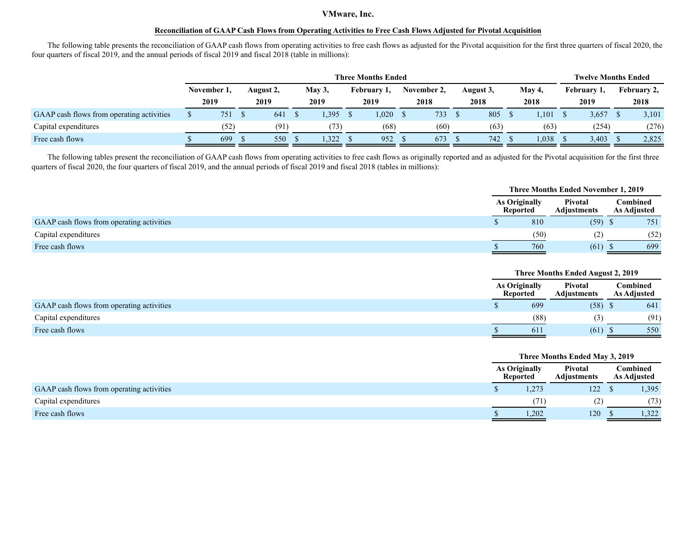### **Reconciliation of GAAP Cash Flows from Operating Activities to Free Cash Flows Adjusted for Pivotal Acquisition**

The following table presents the reconciliation of GAAP cash flows from operating activities to free cash flows as adjusted for the Pivotal acquisition for the first three quarters of fiscal 2020, the four quarters of fiscal 2019, and the annual periods of fiscal 2019 and fiscal 2018 (table in millions):

|                                           |             |           |        | <b>Three Months Ended</b> |             |           |        | <b>Twelve Months Ended</b> |             |
|-------------------------------------------|-------------|-----------|--------|---------------------------|-------------|-----------|--------|----------------------------|-------------|
|                                           | November 1, | August 2, | May 3, | February 1,               | November 2. | August 3, | May 4, | February 1,                | February 2, |
|                                           | 2019        | 2019      | 2019   | 2019                      | 2018        | 2018      | 2018   | 2019                       | 2018        |
| GAAP cash flows from operating activities | 751         | 641       | .395   | 1,020                     | 733         | 805       | .101   | 3,657                      | 3,101       |
| Capital expenditures                      | (52)        | (91)      | (73)   | (68)                      | (60)        | (63)      | (63)   | (254)                      | (276)       |
| Free cash flows                           | 699         | 550       | 322    | 952                       | 673         | 742       | 1,038  | 3,403                      | 2,825       |

The following tables present the reconciliation of GAAP cash flows from operating activities to free cash flows as originally reported and as adjusted for the Pivotal acquisition for the first three quarters of fiscal 2020, the four quarters of fiscal 2019, and the annual periods of fiscal 2019 and fiscal 2018 (tables in millions):

|                                           |                                  |      | <b>Three Months Ended November 1, 2019</b> |                                |      |
|-------------------------------------------|----------------------------------|------|--------------------------------------------|--------------------------------|------|
|                                           | As Originally<br><b>Reported</b> |      | Pivotal<br><b>Adiustments</b>              | Combined<br><b>As Adjusted</b> |      |
| GAAP cash flows from operating activities |                                  | 810  | $(59)$ \$                                  |                                | 751  |
| Capital expenditures                      |                                  | (50) | (2)                                        |                                | (52) |
| Free cash flows                           |                                  | 760  | $(61)$ \$                                  |                                | 699  |

|                                           |                                  | Three Months Ended August 2, 2019 |                                |
|-------------------------------------------|----------------------------------|-----------------------------------|--------------------------------|
|                                           | <b>As Originally</b><br>Reported | Pivotal<br>Adjustments            | Combined<br><b>As Adjusted</b> |
| GAAP cash flows from operating activities | 699                              | $(58)$ \$                         | 641                            |
| Capital expenditures                      | (88)                             | (3)                               | (91)                           |
| Free cash flows                           | 611                              | $(61)$ \$                         | 550                            |

|                                           |                                         | Three Months Ended May 3, 2019 |                                |       |
|-------------------------------------------|-----------------------------------------|--------------------------------|--------------------------------|-------|
|                                           | <b>As Originally</b><br><b>Reported</b> | Pivotal<br><b>Adjustments</b>  | Combined<br><b>As Adjusted</b> |       |
| GAAP cash flows from operating activities | 1,273                                   | 122                            |                                | 1,395 |
| Capital expenditures                      | (71`                                    | (2)                            |                                | (73)  |
| Free cash flows                           | 1,202                                   | 120                            |                                | .322  |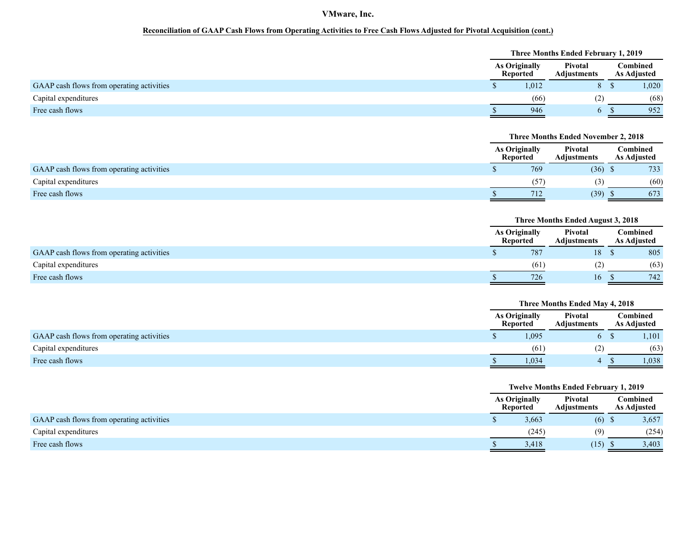## **Reconciliation of GAAP Cash Flows from Operating Activities to Free Cash Flows Adjusted for Pivotal Acquisition (cont.)**

|                                           | Three Months Ended February 1, 2019     |                               |  |                                |  |  |  |
|-------------------------------------------|-----------------------------------------|-------------------------------|--|--------------------------------|--|--|--|
|                                           | <b>As Originally</b><br><b>Reported</b> | Pivotal<br><b>Adiustments</b> |  | Combined<br><b>As Adjusted</b> |  |  |  |
| GAAP cash flows from operating activities | 1,012                                   |                               |  | 1,020                          |  |  |  |
| Capital expenditures                      | (66)                                    |                               |  | (68)                           |  |  |  |
| Free cash flows                           | 946                                     |                               |  | 952                            |  |  |  |

|                                           | <b>Three Months Ended November 2, 2018</b><br><b>As Originally</b><br>Pivotal<br><b>Adiustments</b><br><b>Reported</b><br>769<br>$(36)$ \$ |      |                                |  |  |
|-------------------------------------------|--------------------------------------------------------------------------------------------------------------------------------------------|------|--------------------------------|--|--|
|                                           |                                                                                                                                            |      | Combined<br><b>As Adjusted</b> |  |  |
| GAAP cash flows from operating activities |                                                                                                                                            |      | 733                            |  |  |
| Capital expenditures                      | (57)                                                                                                                                       | 3)   | (60)                           |  |  |
| Free cash flows                           | 712                                                                                                                                        | (39) | 673                            |  |  |

|                                           |                                         | Three Months Ended August 3, 2018 |                                |
|-------------------------------------------|-----------------------------------------|-----------------------------------|--------------------------------|
|                                           | <b>As Originally</b><br><b>Reported</b> | Pivotal<br><b>Adjustments</b>     | Combined<br><b>As Adjusted</b> |
| GAAP cash flows from operating activities | 787                                     | 18                                | 805                            |
| Capital expenditures                      | (61)                                    |                                   | (63)                           |
| Free cash flows                           | 726                                     | 16.                               | 742                            |

|                                           | Three Months Ended May 4, 2018          |                               |  |                                |  |  |
|-------------------------------------------|-----------------------------------------|-------------------------------|--|--------------------------------|--|--|
|                                           | <b>As Originally</b><br><b>Reported</b> | Pivotal<br><b>Adjustments</b> |  | Combined<br><b>As Adjusted</b> |  |  |
| GAAP cash flows from operating activities | 1,095                                   | b.                            |  | 1,101                          |  |  |
| Capital expenditures                      | (61)                                    | (2)                           |  | (63)                           |  |  |
| Free cash flows                           | 1,034                                   |                               |  | 1.038                          |  |  |

|                                           |                                  | <b>Twelve Months Ended February 1, 2019</b> |                                |  |  |
|-------------------------------------------|----------------------------------|---------------------------------------------|--------------------------------|--|--|
|                                           | As Originally<br><b>Reported</b> | Pivotal<br><b>Adiustments</b>               | Combined<br><b>As Adjusted</b> |  |  |
| GAAP cash flows from operating activities | 3,663                            | $(6)$ \$                                    | 3,657                          |  |  |
| Capital expenditures                      | (245)                            | (9)                                         | (254)                          |  |  |
| Free cash flows                           | 3,418                            | (15)                                        | 3,403                          |  |  |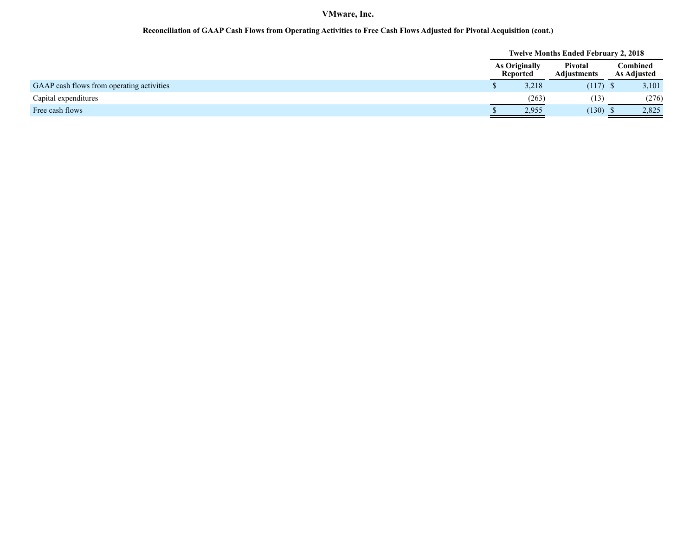## **Reconciliation of GAAP Cash Flows from Operating Activities to Free Cash Flows Adjusted for Pivotal Acquisition (cont.)**

|                                           |                                             |       | <b>Twelve Months Ended February 2, 2018</b> |                                |
|-------------------------------------------|---------------------------------------------|-------|---------------------------------------------|--------------------------------|
|                                           | Pivotal<br><b>As Originally</b><br>Reported |       | <b>Adjustments</b>                          | Combined<br><b>As Adjusted</b> |
| GAAP cash flows from operating activities |                                             | 3,218 | $(117)$ \$                                  | 3,101                          |
| Capital expenditures                      |                                             | (263) | (13                                         | (276)                          |
| Free cash flows                           |                                             | 2,955 | (130)                                       | 2,825                          |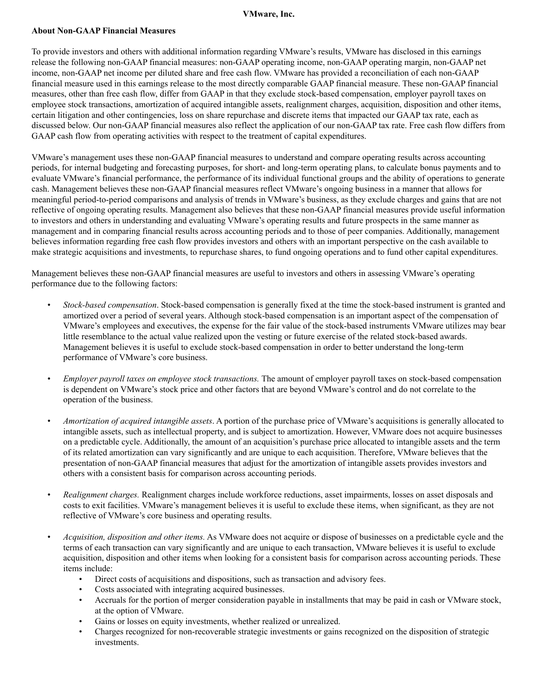### **About Non-GAAP Financial Measures**

To provide investors and others with additional information regarding VMware's results, VMware has disclosed in this earnings release the following non-GAAP financial measures: non-GAAP operating income, non-GAAP operating margin, non-GAAP net income, non-GAAP net income per diluted share and free cash flow. VMware has provided a reconciliation of each non-GAAP financial measure used in this earnings release to the most directly comparable GAAP financial measure. These non-GAAP financial measures, other than free cash flow, differ from GAAP in that they exclude stock-based compensation, employer payroll taxes on employee stock transactions, amortization of acquired intangible assets, realignment charges, acquisition, disposition and other items, certain litigation and other contingencies, loss on share repurchase and discrete items that impacted our GAAP tax rate, each as discussed below. Our non-GAAP financial measures also reflect the application of our non-GAAP tax rate. Free cash flow differs from GAAP cash flow from operating activities with respect to the treatment of capital expenditures.

VMware's management uses these non-GAAP financial measures to understand and compare operating results across accounting periods, for internal budgeting and forecasting purposes, for short- and long-term operating plans, to calculate bonus payments and to evaluate VMware's financial performance, the performance of its individual functional groups and the ability of operations to generate cash. Management believes these non-GAAP financial measures reflect VMware's ongoing business in a manner that allows for meaningful period-to-period comparisons and analysis of trends in VMware's business, as they exclude charges and gains that are not reflective of ongoing operating results. Management also believes that these non-GAAP financial measures provide useful information to investors and others in understanding and evaluating VMware's operating results and future prospects in the same manner as management and in comparing financial results across accounting periods and to those of peer companies. Additionally, management believes information regarding free cash flow provides investors and others with an important perspective on the cash available to make strategic acquisitions and investments, to repurchase shares, to fund ongoing operations and to fund other capital expenditures.

Management believes these non-GAAP financial measures are useful to investors and others in assessing VMware's operating performance due to the following factors:

- *Stock-based compensation*. Stock-based compensation is generally fixed at the time the stock-based instrument is granted and amortized over a period of several years. Although stock-based compensation is an important aspect of the compensation of VMware's employees and executives, the expense for the fair value of the stock-based instruments VMware utilizes may bear little resemblance to the actual value realized upon the vesting or future exercise of the related stock-based awards. Management believes it is useful to exclude stock-based compensation in order to better understand the long-term performance of VMware's core business.
- *Employer payroll taxes on employee stock transactions.* The amount of employer payroll taxes on stock-based compensation is dependent on VMware's stock price and other factors that are beyond VMware's control and do not correlate to the operation of the business.
- *Amortization of acquired intangible assets*. A portion of the purchase price of VMware's acquisitions is generally allocated to intangible assets, such as intellectual property, and is subject to amortization. However, VMware does not acquire businesses on a predictable cycle. Additionally, the amount of an acquisition's purchase price allocated to intangible assets and the term of its related amortization can vary significantly and are unique to each acquisition. Therefore, VMware believes that the presentation of non-GAAP financial measures that adjust for the amortization of intangible assets provides investors and others with a consistent basis for comparison across accounting periods.
- *Realignment charges.* Realignment charges include workforce reductions, asset impairments, losses on asset disposals and costs to exit facilities. VMware's management believes it is useful to exclude these items, when significant, as they are not reflective of VMware's core business and operating results.
- *Acquisition, disposition and other items.* As VMware does not acquire or dispose of businesses on a predictable cycle and the terms of each transaction can vary significantly and are unique to each transaction, VMware believes it is useful to exclude acquisition, disposition and other items when looking for a consistent basis for comparison across accounting periods. These items include:
	- Direct costs of acquisitions and dispositions, such as transaction and advisory fees.
	- Costs associated with integrating acquired businesses.
	- Accruals for the portion of merger consideration payable in installments that may be paid in cash or VMware stock, at the option of VMware.
	- Gains or losses on equity investments, whether realized or unrealized.
	- Charges recognized for non-recoverable strategic investments or gains recognized on the disposition of strategic investments.